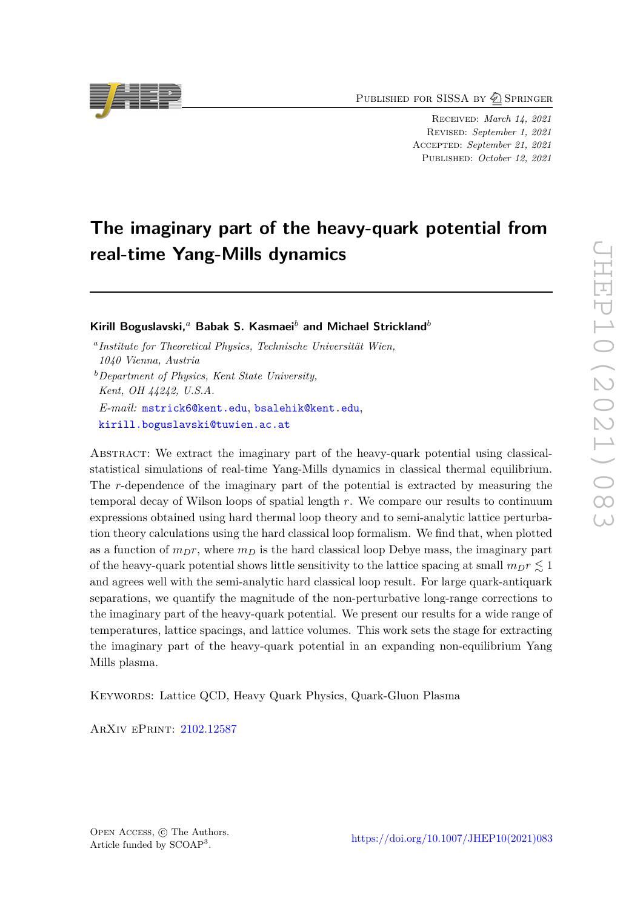PUBLISHED FOR SISSA BY 2 SPRINGER

Received: *March 14, 2021* Revised: *September 1, 2021* ACCEPTED: *September 21, 2021* Published: *October 12, 2021*

# **The imaginary part of the heavy-quark potential from real-time Yang-Mills dynamics**

**Kirill Boguslavski,***<sup>a</sup>* **Babak S. Kasmaei***<sup>b</sup>* **and Michael Strickland***<sup>b</sup>*

*a Institute for Theoretical Physics, Technische Universität Wien, 1040 Vienna, Austria <sup>b</sup>Department of Physics, Kent State University, Kent, OH 44242, U.S.A. E-mail:* [mstrick6@kent.edu](mailto:mstrick6@kent.edu), [bsalehik@kent.edu](mailto:bsalehik@kent.edu), [kirill.boguslavski@tuwien.ac.at](mailto:kirill.boguslavski@tuwien.ac.at)

Abstract: We extract the imaginary part of the heavy-quark potential using classicalstatistical simulations of real-time Yang-Mills dynamics in classical thermal equilibrium. The *r*-dependence of the imaginary part of the potential is extracted by measuring the temporal decay of Wilson loops of spatial length *r*. We compare our results to continuum expressions obtained using hard thermal loop theory and to semi-analytic lattice perturbation theory calculations using the hard classical loop formalism. We find that, when plotted as a function of  $m_{DT}$ , where  $m_D$  is the hard classical loop Debye mass, the imaginary part of the heavy-quark potential shows little sensitivity to the lattice spacing at small  $m_D r \lesssim 1$ and agrees well with the semi-analytic hard classical loop result. For large quark-antiquark separations, we quantify the magnitude of the non-perturbative long-range corrections to the imaginary part of the heavy-quark potential. We present our results for a wide range of temperatures, lattice spacings, and lattice volumes. This work sets the stage for extracting the imaginary part of the heavy-quark potential in an expanding non-equilibrium Yang Mills plasma.

Keywords: Lattice QCD, Heavy Quark Physics, Quark-Gluon Plasma

ArXiv ePrint: [2102.12587](https://arxiv.org/abs/2102.12587)

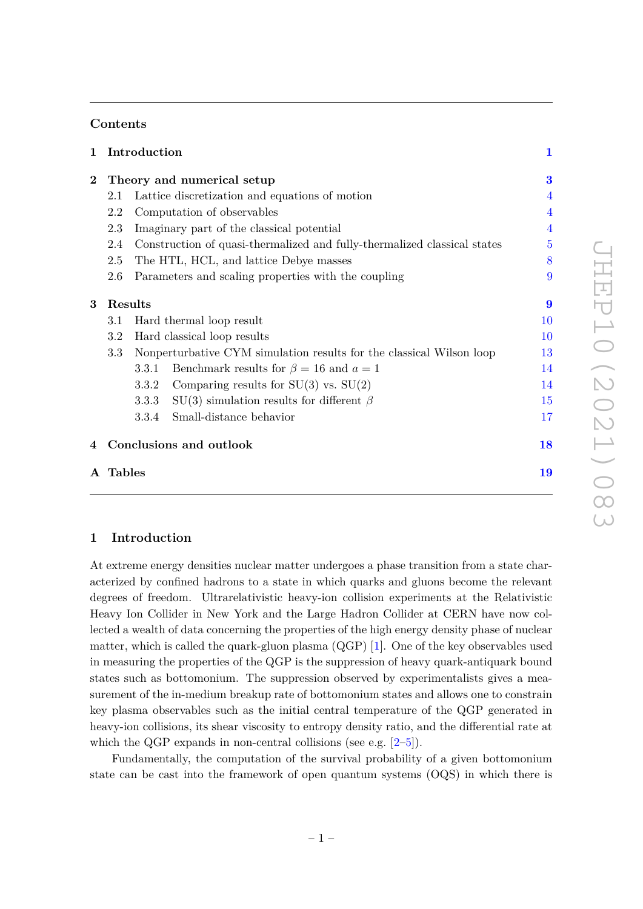# **Contents**

| $\mathbf 1$ |                                                                                 | Introduction                                                         | $\mathbf 1$    |  |  |  |  |
|-------------|---------------------------------------------------------------------------------|----------------------------------------------------------------------|----------------|--|--|--|--|
| $\bf{2}$    | Theory and numerical setup                                                      |                                                                      |                |  |  |  |  |
|             | 2.1                                                                             | Lattice discretization and equations of motion                       |                |  |  |  |  |
|             | 2.2                                                                             | Computation of observables                                           | $\overline{4}$ |  |  |  |  |
|             | Imaginary part of the classical potential<br>2.3                                |                                                                      |                |  |  |  |  |
|             | Construction of quasi-thermalized and fully-thermalized classical states<br>2.4 |                                                                      |                |  |  |  |  |
|             | 2.5                                                                             | The HTL, HCL, and lattice Debye masses                               |                |  |  |  |  |
|             | 2.6                                                                             | Parameters and scaling properties with the coupling                  | 9              |  |  |  |  |
| 3           | Results                                                                         |                                                                      |                |  |  |  |  |
|             | 3.1                                                                             | Hard thermal loop result                                             |                |  |  |  |  |
|             | 3.2                                                                             | Hard classical loop results                                          |                |  |  |  |  |
|             | $3.3\,$                                                                         | Nonperturbative CYM simulation results for the classical Wilson loop |                |  |  |  |  |
|             |                                                                                 | Benchmark results for $\beta = 16$ and $a = 1$<br>3.3.1              | 14             |  |  |  |  |
|             |                                                                                 | Comparing results for $SU(3)$ vs. $SU(2)$<br>3.3.2                   | 14             |  |  |  |  |
|             |                                                                                 | SU(3) simulation results for different $\beta$<br>3.3.3              | 15             |  |  |  |  |
|             |                                                                                 | Small-distance behavior<br>3.3.4                                     | 17             |  |  |  |  |
| 4           |                                                                                 | Conclusions and outlook                                              | 18             |  |  |  |  |
|             | A Tables                                                                        |                                                                      | 19             |  |  |  |  |

## <span id="page-1-0"></span>**1 Introduction**

At extreme energy densities nuclear matter undergoes a phase transition from a state characterized by confined hadrons to a state in which quarks and gluons become the relevant degrees of freedom. Ultrarelativistic heavy-ion collision experiments at the Relativistic Heavy Ion Collider in New York and the Large Hadron Collider at CERN have now collected a wealth of data concerning the properties of the high energy density phase of nuclear matter, which is called the quark-gluon plasma (QGP) [\[1\]](#page-21-0). One of the key observables used in measuring the properties of the QGP is the suppression of heavy quark-antiquark bound states such as bottomonium. The suppression observed by experimentalists gives a measurement of the in-medium breakup rate of bottomonium states and allows one to constrain key plasma observables such as the initial central temperature of the QGP generated in heavy-ion collisions, its shear viscosity to entropy density ratio, and the differential rate at which the QGP expands in non-central collisions (see e.g.  $[2-5]$  $[2-5]$ ).

Fundamentally, the computation of the survival probability of a given bottomonium state can be cast into the framework of open quantum systems (OQS) in which there is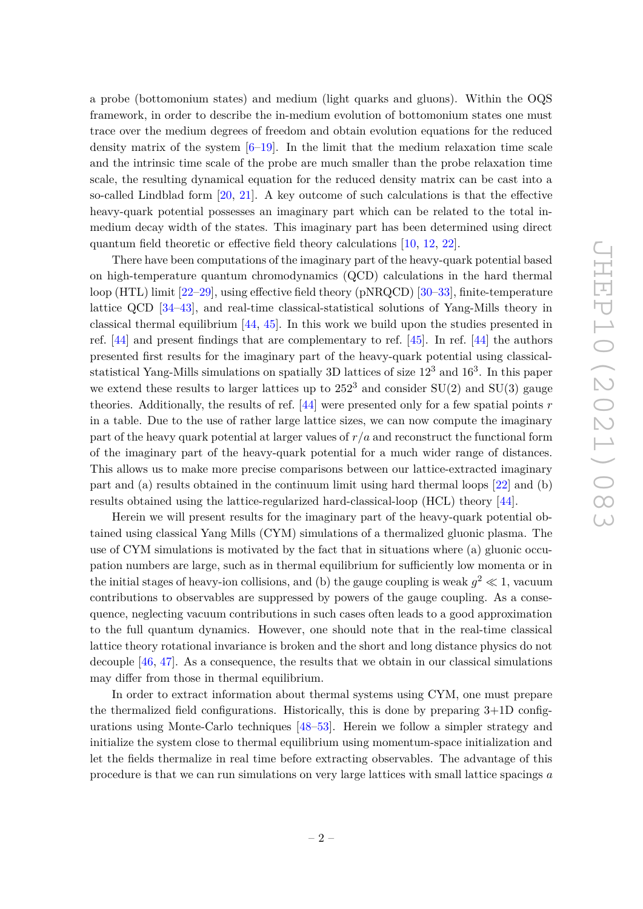a probe (bottomonium states) and medium (light quarks and gluons). Within the OQS framework, in order to describe the in-medium evolution of bottomonium states one must trace over the medium degrees of freedom and obtain evolution equations for the reduced density matrix of the system  $[6-19]$  $[6-19]$ . In the limit that the medium relaxation time scale and the intrinsic time scale of the probe are much smaller than the probe relaxation time scale, the resulting dynamical equation for the reduced density matrix can be cast into a so-called Lindblad form [\[20,](#page-22-1) [21\]](#page-22-2). A key outcome of such calculations is that the effective heavy-quark potential possesses an imaginary part which can be related to the total inmedium decay width of the states. This imaginary part has been determined using direct quantum field theoretic or effective field theory calculations [\[10,](#page-21-4) [12,](#page-21-5) [22\]](#page-22-3).

There have been computations of the imaginary part of the heavy-quark potential based on high-temperature quantum chromodynamics (QCD) calculations in the hard thermal loop (HTL) limit [\[22–](#page-22-3)[29\]](#page-22-4), using effective field theory (pNRQCD) [\[30](#page-22-5)[–33\]](#page-23-0), finite-temperature lattice QCD [\[34–](#page-23-1)[43\]](#page-23-2), and real-time classical-statistical solutions of Yang-Mills theory in classical thermal equilibrium [\[44,](#page-23-3) [45\]](#page-23-4). In this work we build upon the studies presented in ref. [\[44\]](#page-23-3) and present findings that are complementary to ref. [\[45\]](#page-23-4). In ref. [\[44\]](#page-23-3) the authors presented first results for the imaginary part of the heavy-quark potential using classicalstatistical Yang-Mills simulations on spatially 3D lattices of size  $12^3$  and  $16^3$ . In this paper we extend these results to larger lattices up to  $252<sup>3</sup>$  and consider SU(2) and SU(3) gauge theories. Additionally, the results of ref. [\[44\]](#page-23-3) were presented only for a few spatial points *r* in a table. Due to the use of rather large lattice sizes, we can now compute the imaginary part of the heavy quark potential at larger values of  $r/a$  and reconstruct the functional form of the imaginary part of the heavy-quark potential for a much wider range of distances. This allows us to make more precise comparisons between our lattice-extracted imaginary part and (a) results obtained in the continuum limit using hard thermal loops [\[22\]](#page-22-3) and (b) results obtained using the lattice-regularized hard-classical-loop (HCL) theory [\[44\]](#page-23-3).

Herein we will present results for the imaginary part of the heavy-quark potential obtained using classical Yang Mills (CYM) simulations of a thermalized gluonic plasma. The use of CYM simulations is motivated by the fact that in situations where (a) gluonic occupation numbers are large, such as in thermal equilibrium for sufficiently low momenta or in the initial stages of heavy-ion collisions, and (b) the gauge coupling is weak  $g^2 \ll 1$ , vacuum contributions to observables are suppressed by powers of the gauge coupling. As a consequence, neglecting vacuum contributions in such cases often leads to a good approximation to the full quantum dynamics. However, one should note that in the real-time classical lattice theory rotational invariance is broken and the short and long distance physics do not decouple [\[46,](#page-23-5) [47\]](#page-23-6). As a consequence, the results that we obtain in our classical simulations may differ from those in thermal equilibrium.

In order to extract information about thermal systems using CYM, one must prepare the thermalized field configurations. Historically, this is done by preparing 3+1D configurations using Monte-Carlo techniques [\[48](#page-23-7)[–53\]](#page-24-0). Herein we follow a simpler strategy and initialize the system close to thermal equilibrium using momentum-space initialization and let the fields thermalize in real time before extracting observables. The advantage of this procedure is that we can run simulations on very large lattices with small lattice spacings *a*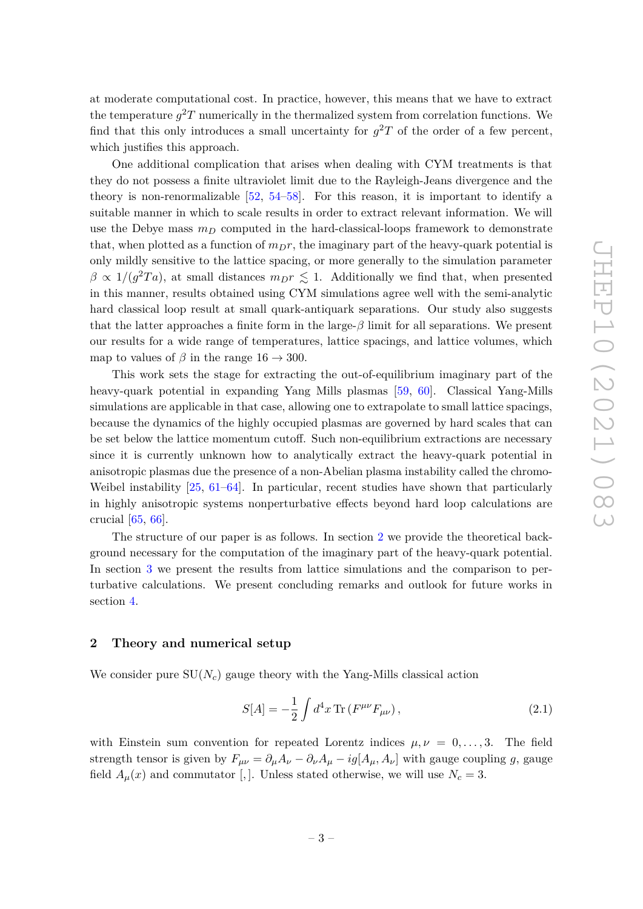at moderate computational cost. In practice, however, this means that we have to extract the temperature  $g^2T$  numerically in the thermalized system from correlation functions. We find that this only introduces a small uncertainty for  $g^2T$  of the order of a few percent, which justifies this approach.

One additional complication that arises when dealing with CYM treatments is that they do not possess a finite ultraviolet limit due to the Rayleigh-Jeans divergence and the theory is non-renormalizable [\[52,](#page-24-1) [54](#page-24-2)[–58\]](#page-24-3). For this reason, it is important to identify a suitable manner in which to scale results in order to extract relevant information. We will use the Debye mass *m<sup>D</sup>* computed in the hard-classical-loops framework to demonstrate that, when plotted as a function of  $m_D r$ , the imaginary part of the heavy-quark potential is only mildly sensitive to the lattice spacing, or more generally to the simulation parameter  $\beta \propto 1/(g^2 T a)$ , at small distances  $m_D r \lesssim 1$ . Additionally we find that, when presented in this manner, results obtained using CYM simulations agree well with the semi-analytic hard classical loop result at small quark-antiquark separations. Our study also suggests that the latter approaches a finite form in the large-*β* limit for all separations. We present our results for a wide range of temperatures, lattice spacings, and lattice volumes, which map to values of  $\beta$  in the range 16  $\rightarrow$  300.

This work sets the stage for extracting the out-of-equilibrium imaginary part of the heavy-quark potential in expanding Yang Mills plasmas [\[59,](#page-24-4) [60\]](#page-24-5). Classical Yang-Mills simulations are applicable in that case, allowing one to extrapolate to small lattice spacings, because the dynamics of the highly occupied plasmas are governed by hard scales that can be set below the lattice momentum cutoff. Such non-equilibrium extractions are necessary since it is currently unknown how to analytically extract the heavy-quark potential in anisotropic plasmas due the presence of a non-Abelian plasma instability called the chromo-Weibel instability [\[25,](#page-22-6) [61](#page-24-6)[–64\]](#page-24-7). In particular, recent studies have shown that particularly in highly anisotropic systems nonperturbative effects beyond hard loop calculations are crucial [\[65,](#page-24-8) [66\]](#page-24-9).

The structure of our paper is as follows. In section [2](#page-3-0) we provide the theoretical background necessary for the computation of the imaginary part of the heavy-quark potential. In section [3](#page-9-1) we present the results from lattice simulations and the comparison to perturbative calculations. We present concluding remarks and outlook for future works in section [4.](#page-18-0)

# <span id="page-3-0"></span>**2 Theory and numerical setup**

We consider pure  $SU(N_c)$  gauge theory with the Yang-Mills classical action

$$
S[A] = -\frac{1}{2} \int d^4x \,\text{Tr} \left( F^{\mu\nu} F_{\mu\nu} \right), \tag{2.1}
$$

with Einstein sum convention for repeated Lorentz indices  $\mu, \nu = 0, \ldots, 3$ . The field strength tensor is given by  $F_{\mu\nu} = \partial_{\mu}A_{\nu} - \partial_{\nu}A_{\mu} - ig[A_{\mu}, A_{\nu}]$  with gauge coupling *g*, gauge field  $A_\mu(x)$  and commutator [,]. Unless stated otherwise, we will use  $N_c = 3$ .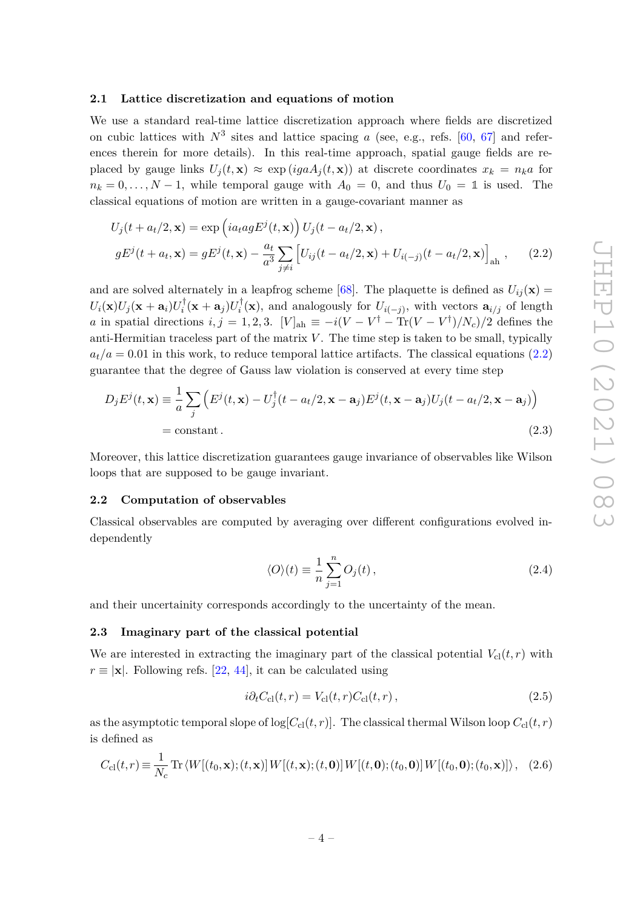## <span id="page-4-0"></span>**2.1 Lattice discretization and equations of motion**

We use a standard real-time lattice discretization approach where fields are discretized on cubic lattices with  $N^3$  sites and lattice spacing *a* (see, e.g., refs. [\[60,](#page-24-5) [67\]](#page-24-10) and references therein for more details). In this real-time approach, spatial gauge fields are replaced by gauge links  $U_i(t, \mathbf{x}) \approx \exp(igaA_i(t, \mathbf{x}))$  at discrete coordinates  $x_k = n_k a$  for  $n_k = 0, \ldots, N-1$ , while temporal gauge with  $A_0 = 0$ , and thus  $U_0 = 1$  is used. The classical equations of motion are written in a gauge-covariant manner as

$$
U_j(t + a_t/2, \mathbf{x}) = \exp\left(ia_tagE^j(t, \mathbf{x})\right)U_j(t - a_t/2, \mathbf{x}),
$$
  
\n
$$
gE^j(t + a_t, \mathbf{x}) = gE^j(t, \mathbf{x}) - \frac{a_t}{a^3} \sum_{j \neq i} \left[U_{ij}(t - a_t/2, \mathbf{x}) + U_{i(-j)}(t - a_t/2, \mathbf{x})\right]_{\text{ah}},
$$
\n(2.2)

and are solved alternately in a leapfrog scheme [\[68\]](#page-24-11). The plaquette is defined as  $U_{ij}(\mathbf{x}) =$  $U_i(\mathbf{x})U_j(\mathbf{x}+\mathbf{a}_i)U_i^\dagger$  $U_i^\dagger(\mathbf{x}+\mathbf{a}_j)U_i^\dagger$ *i*<sup> $₁$ </sup>(**x**), and analogously for *U*<sub>*i*(−*j*)</sub>, with vectors  $\mathbf{a}_{i/j}$  of length *a* in spatial directions  $i, j = 1, 2, 3$ .  $[V]_{ah} \equiv -i(V - V^{\dagger} - Tr(V - V^{\dagger})/N_c)/2$  defines the anti-Hermitian traceless part of the matrix  $V$ . The time step is taken to be small, typically  $a_t/a = 0.01$  in this work, to reduce temporal lattice artifacts. The classical equations [\(2.2\)](#page-4-3) guarantee that the degree of Gauss law violation is conserved at every time step

$$
D_j E^j(t, \mathbf{x}) \equiv \frac{1}{a} \sum_j \left( E^j(t, \mathbf{x}) - U_j^{\dagger}(t - a_t/2, \mathbf{x} - \mathbf{a}_j) E^j(t, \mathbf{x} - \mathbf{a}_j) U_j(t - a_t/2, \mathbf{x} - \mathbf{a}_j) \right)
$$
  
= constant. (2.3)

Moreover, this lattice discretization guarantees gauge invariance of observables like Wilson loops that are supposed to be gauge invariant.

#### <span id="page-4-1"></span>**2.2 Computation of observables**

Classical observables are computed by averaging over different configurations evolved independently

<span id="page-4-3"></span>
$$
\langle O \rangle(t) \equiv \frac{1}{n} \sum_{j=1}^{n} O_j(t) \,, \tag{2.4}
$$

and their uncertainity corresponds accordingly to the uncertainty of the mean.

#### <span id="page-4-2"></span>**2.3 Imaginary part of the classical potential**

We are interested in extracting the imaginary part of the classical potential  $V_{\text{cl}}(t, r)$  with  $r \equiv |\mathbf{x}|$ . Following refs. [\[22,](#page-22-3) [44\]](#page-23-3), it can be calculated using

$$
i\partial_t C_{\rm cl}(t,r) = V_{\rm cl}(t,r)C_{\rm cl}(t,r)\,,\tag{2.5}
$$

as the asymptotic temporal slope of  $log[C_{\text{cl}}(t, r)]$ . The classical thermal Wilson loop  $C_{\text{cl}}(t, r)$ is defined as

$$
C_{\rm cl}(t,r) \equiv \frac{1}{N_c} \operatorname{Tr} \langle W[(t_0,\mathbf{x});(t,\mathbf{x})] W[(t,\mathbf{x});(t,\mathbf{0})] W[(t,\mathbf{0});(t_0,\mathbf{0})] W[(t_0,\mathbf{0});(t_0,\mathbf{x})] \rangle, \quad (2.6)
$$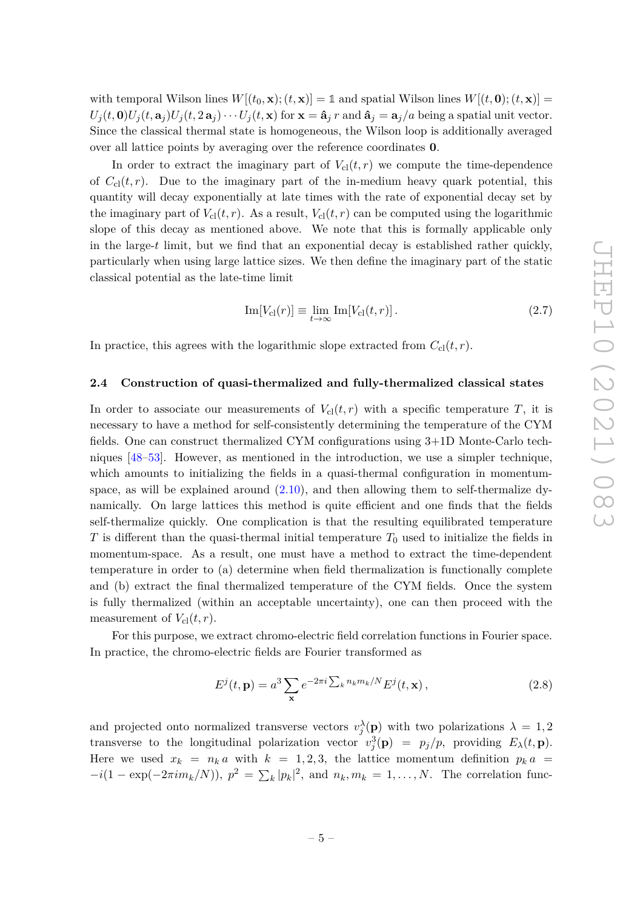with temporal Wilson lines  $W[(t_0, \mathbf{x}); (t, \mathbf{x})] = \mathbb{1}$  and spatial Wilson lines  $W[(t, \mathbf{0}); (t, \mathbf{x})] =$  $U_i(t,0)U_i(t,\mathbf{a}_i)U_i(t,2\mathbf{a}_i)\cdots U_i(t,\mathbf{x})$  for  $\mathbf{x}=\hat{\mathbf{a}}_i r$  and  $\hat{\mathbf{a}}_i=\mathbf{a}_i/a$  being a spatial unit vector. Since the classical thermal state is homogeneous, the Wilson loop is additionally averaged over all lattice points by averaging over the reference coordinates **0**.

In order to extract the imaginary part of  $V_{\text{cl}}(t,r)$  we compute the time-dependence of  $C_{\rm cl}(t,r)$ . Due to the imaginary part of the in-medium heavy quark potential, this quantity will decay exponentially at late times with the rate of exponential decay set by the imaginary part of  $V_{\text{cl}}(t,r)$ . As a result,  $V_{\text{cl}}(t,r)$  can be computed using the logarithmic slope of this decay as mentioned above. We note that this is formally applicable only in the large-*t* limit, but we find that an exponential decay is established rather quickly, particularly when using large lattice sizes. We then define the imaginary part of the static classical potential as the late-time limit

$$
\operatorname{Im}[V_{\text{cl}}(r)] \equiv \lim_{t \to \infty} \operatorname{Im}[V_{\text{cl}}(t, r)]. \tag{2.7}
$$

In practice, this agrees with the logarithmic slope extracted from  $C_{\text{cl}}(t, r)$ .

#### <span id="page-5-0"></span>**2.4 Construction of quasi-thermalized and fully-thermalized classical states**

In order to associate our measurements of  $V_{\text{cl}}(t,r)$  with a specific temperature T, it is necessary to have a method for self-consistently determining the temperature of the CYM fields. One can construct thermalized CYM configurations using 3+1D Monte-Carlo techniques [\[48](#page-23-7)[–53\]](#page-24-0). However, as mentioned in the introduction, we use a simpler technique, which amounts to initializing the fields in a quasi-thermal configuration in momentumspace, as will be explained around  $(2.10)$ , and then allowing them to self-thermalize dynamically. On large lattices this method is quite efficient and one finds that the fields self-thermalize quickly. One complication is that the resulting equilibrated temperature *T* is different than the quasi-thermal initial temperature  $T_0$  used to initialize the fields in momentum-space. As a result, one must have a method to extract the time-dependent temperature in order to (a) determine when field thermalization is functionally complete and (b) extract the final thermalized temperature of the CYM fields. Once the system is fully thermalized (within an acceptable uncertainty), one can then proceed with the measurement of  $V_{\text{cl}}(t,r)$ .

For this purpose, we extract chromo-electric field correlation functions in Fourier space. In practice, the chromo-electric fields are Fourier transformed as

$$
E^{j}(t, \mathbf{p}) = a^{3} \sum_{\mathbf{x}} e^{-2\pi i \sum_{k} n_{k} m_{k}/N} E^{j}(t, \mathbf{x}), \qquad (2.8)
$$

and projected onto normalized transverse vectors  $v_j^{\lambda}(\mathbf{p})$  with two polarizations  $\lambda = 1, 2$ transverse to the longitudinal polarization vector  $v_j^3(\mathbf{p}) = p_j/p$ , providing  $E_\lambda(t, \mathbf{p})$ . Here we used  $x_k = n_k a$  with  $k = 1, 2, 3$ , the lattice momentum definition  $p_k a =$  $-i(1 - \exp(-2\pi i m_k/N)), p^2 = \sum_k |p_k|^2$ , and  $n_k, m_k = 1, \ldots, N$ . The correlation func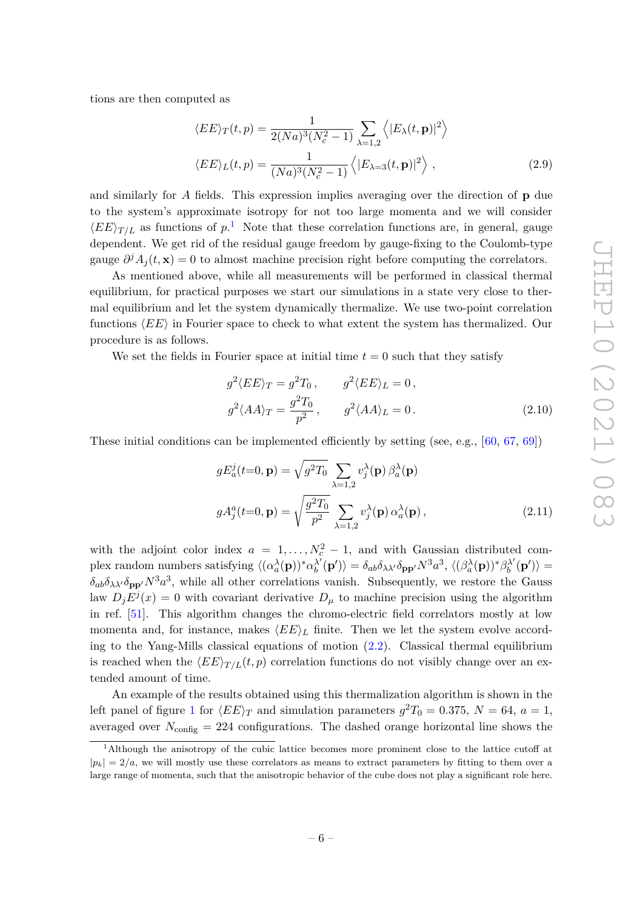tions are then computed as

$$
\langle EE \rangle_T(t,p) = \frac{1}{2(Na)^3(N_c^2 - 1)} \sum_{\lambda=1,2} \left\langle |E_{\lambda}(t,\mathbf{p})|^2 \right\rangle
$$
  

$$
\langle EE \rangle_L(t,p) = \frac{1}{(Na)^3(N_c^2 - 1)} \left\langle |E_{\lambda=3}(t,\mathbf{p})|^2 \right\rangle,
$$
 (2.9)

and similarly for *A* fields. This expression implies averaging over the direction of **p** due to the system's approximate isotropy for not too large momenta and we will consider  $\langle EE\rangle_{T/L}$  as functions of  $p$ <sup>[1](#page-6-1)</sup>. Note that these correlation functions are, in general, gauge dependent. We get rid of the residual gauge freedom by gauge-fixing to the Coulomb-type gauge  $\partial^j A_j(t, \mathbf{x}) = 0$  to almost machine precision right before computing the correlators.

As mentioned above, while all measurements will be performed in classical thermal equilibrium, for practical purposes we start our simulations in a state very close to thermal equilibrium and let the system dynamically thermalize. We use two-point correlation functions  $\langle EE \rangle$  in Fourier space to check to what extent the system has thermalized. Our procedure is as follows.

We set the fields in Fourier space at initial time  $t = 0$  such that they satisfy

<span id="page-6-0"></span>
$$
g^{2}\langle EE\rangle_{T} = g^{2}T_{0}, \qquad g^{2}\langle EE\rangle_{L} = 0,
$$
  

$$
g^{2}\langle AA\rangle_{T} = \frac{g^{2}T_{0}}{p^{2}}, \qquad g^{2}\langle AA\rangle_{L} = 0.
$$
 (2.10)

These initial conditions can be implemented efficiently by setting (see, e.g., [\[60,](#page-24-5) [67,](#page-24-10) [69\]](#page-25-0))

$$
gE_a^j(t=0, \mathbf{p}) = \sqrt{g^2 T_0} \sum_{\lambda=1,2} v_j^{\lambda}(\mathbf{p}) \beta_a^{\lambda}(\mathbf{p})
$$

$$
gA_j^a(t=0, \mathbf{p}) = \sqrt{\frac{g^2 T_0}{p^2}} \sum_{\lambda=1,2} v_j^{\lambda}(\mathbf{p}) \alpha_a^{\lambda}(\mathbf{p}), \qquad (2.11)
$$

with the adjoint color index  $a = 1, \ldots, N_c^2 - 1$ , and with Gaussian distributed complex random numbers satisfying  $\langle (\alpha_a^{\lambda}(\mathbf{p}))^* \alpha_b^{\lambda'} \rangle$  $\langle b^{\lambda'}(\mathbf{p'})\rangle = \delta_{ab}\delta_{\lambda\lambda'}\delta_{\mathbf{p}\mathbf{p'}}N^3a^3, \langle (\beta_a^{\lambda}(\mathbf{p}))^*\beta_b^{\lambda'}\rangle$  $\langle b\atop b}^{\lambda'}({\bf p}')\rangle=$  $\delta_{ab}\delta_{\lambda\lambda'}\delta_{\mathbf{pp'}}N^3a^3$ , while all other correlations vanish. Subsequently, we restore the Gauss law  $D_j E^j(x) = 0$  with covariant derivative  $D_\mu$  to machine precision using the algorithm in ref. [\[51\]](#page-24-12). This algorithm changes the chromo-electric field correlators mostly at low momenta and, for instance, makes  $\langle EE \rangle_L$  finite. Then we let the system evolve according to the Yang-Mills classical equations of motion [\(2.2\)](#page-4-3). Classical thermal equilibrium is reached when the  $\langle EE\rangle_{T/L}(t, p)$  correlation functions do not visibly change over an extended amount of time.

An example of the results obtained using this thermalization algorithm is shown in the left panel of figure [1](#page-7-0) for  $\langle EE \rangle_T$  and simulation parameters  $g^2T_0 = 0.375$ ,  $N = 64$ ,  $a = 1$ , averaged over  $N_{\text{config}} = 224$  configurations. The dashed orange horizontal line shows the

<span id="page-6-1"></span><sup>1</sup>Although the anisotropy of the cubic lattice becomes more prominent close to the lattice cutoff at  $|p_k| = 2/a$ , we will mostly use these correlators as means to extract parameters by fitting to them over a large range of momenta, such that the anisotropic behavior of the cube does not play a significant role here.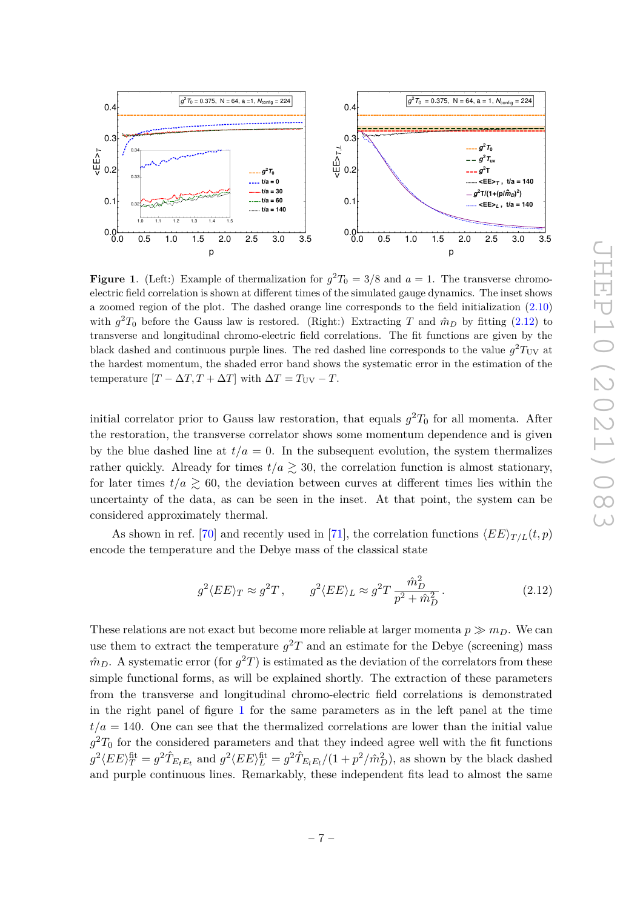

<span id="page-7-0"></span>**Figure 1.** (Left:) Example of thermalization for  $g^2T_0 = 3/8$  and  $a = 1$ . The transverse chromoelectric field correlation is shown at different times of the simulated gauge dynamics. The inset shows a zoomed region of the plot. The dashed orange line corresponds to the field initialization [\(2.10\)](#page-6-0) with  $g^2T_0$  before the Gauss law is restored. (Right:) Extracting *T* and  $\hat{m}_D$  by fitting [\(2.12\)](#page-7-1) to transverse and longitudinal chromo-electric field correlations. The fit functions are given by the black dashed and continuous purple lines. The red dashed line corresponds to the value  $g^2T_{\text{UV}}$  at the hardest momentum, the shaded error band shows the systematic error in the estimation of the temperature  $[T - \Delta T, T + \Delta T]$  with  $\Delta T = T_{UV} - T$ .

initial correlator prior to Gauss law restoration, that equals  $g^2T_0$  for all momenta. After the restoration, the transverse correlator shows some momentum dependence and is given by the blue dashed line at  $t/a = 0$ . In the subsequent evolution, the system thermalizes rather quickly. Already for times  $t/a \gtrsim 30$ , the correlation function is almost stationary, for later times  $t/a \gtrsim 60$ , the deviation between curves at different times lies within the uncertainty of the data, as can be seen in the inset. At that point, the system can be considered approximately thermal.

As shown in ref. [\[70\]](#page-25-1) and recently used in [\[71\]](#page-25-2), the correlation functions  $\langle EE\rangle_{T/L}(t,p)$ encode the temperature and the Debye mass of the classical state

<span id="page-7-1"></span>
$$
g^2 \langle EE \rangle_T \approx g^2 T \,, \qquad g^2 \langle EE \rangle_L \approx g^2 T \frac{\hat{m}_D^2}{p^2 + \hat{m}_D^2} \,. \tag{2.12}
$$

These relations are not exact but become more reliable at larger momenta  $p \gg m_D$ . We can use them to extract the temperature  $g^2T$  and an estimate for the Debye (screening) mass  $\hat{m}_D$ . A systematic error (for  $g^2T$ ) is estimated as the deviation of the correlators from these simple functional forms, as will be explained shortly. The extraction of these parameters from the transverse and longitudinal chromo-electric field correlations is demonstrated in the right panel of figure [1](#page-7-0) for the same parameters as in the left panel at the time  $t/a = 140$ . One can see that the thermalized correlations are lower than the initial value  $g^2T_0$  for the considered parameters and that they indeed agree well with the fit functions  $g^2 \langle EE\rangle^{\rm fit}_T = g^2 \hat{T}_{E_t E_t}$  and  $g^2 \langle EE\rangle^{\rm fit}_L = g^2 \hat{T}_{E_l E_l}/(1 + p^2/\hat{m}_D^2)$ , as shown by the black dashed and purple continuous lines. Remarkably, these independent fits lead to almost the same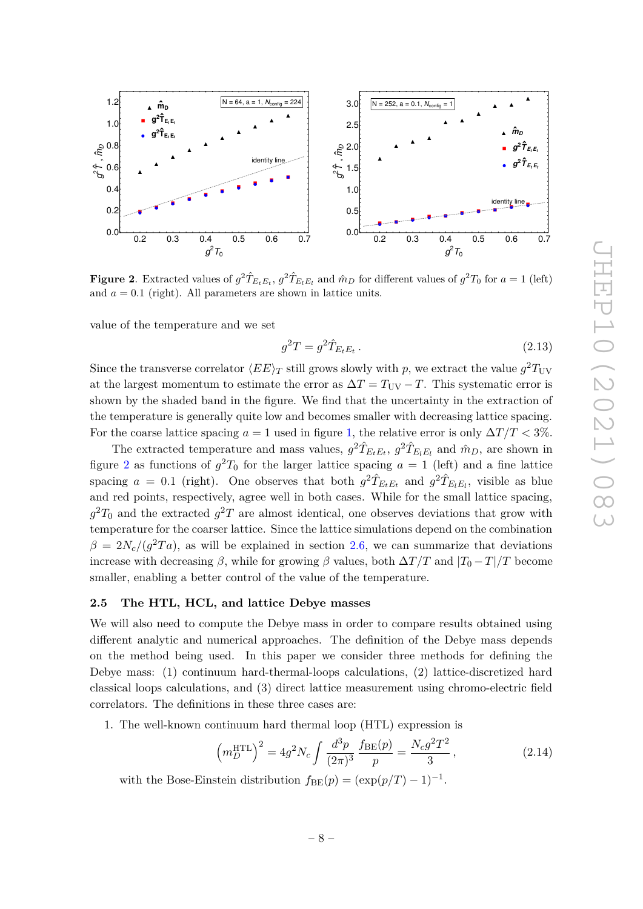

<span id="page-8-1"></span>**Figure 2.** Extracted values of  $g^2 \hat{T}_{E_t E_t}$ ,  $g^2 \hat{T}_{E_l E_l}$  and  $\hat{m}_D$  for different values of  $g^2 T_0$  for  $a = 1$  (left) and  $a = 0.1$  (right). All parameters are shown in lattice units.

value of the temperature and we set

$$
g^2 T = g^2 \hat{T}_{E_t E_t} \,. \tag{2.13}
$$

Since the transverse correlator  $\langle EE \rangle_T$  still grows slowly with *p*, we extract the value  $g^2T_{\text{UV}}$ at the largest momentum to estimate the error as  $\Delta T = T_{UV} - T$ . This systematic error is shown by the shaded band in the figure. We find that the uncertainty in the extraction of the temperature is generally quite low and becomes smaller with decreasing lattice spacing. For the coarse lattice spacing  $a = 1$  used in figure [1,](#page-7-0) the relative error is only  $\Delta T/T < 3\%$ .

The extracted temperature and mass values,  $g^2 \hat{T}_{E_t E_t}$ ,  $g^2 \hat{T}_{E_l E_l}$  and  $\hat{m}_D$ , are shown in figure [2](#page-8-1) as functions of  $g^2T_0$  for the larger lattice spacing  $a = 1$  (left) and a fine lattice spacing  $a = 0.1$  (right). One observes that both  $g^2 \hat{T}_{E_t E_t}$  and  $g^2 \hat{T}_{E_l E_l}$ , visible as blue and red points, respectively, agree well in both cases. While for the small lattice spacing,  $g^2T_0$  and the extracted  $g^2T$  are almost identical, one observes deviations that grow with temperature for the coarser lattice. Since the lattice simulations depend on the combination  $\beta = 2N_c/(g^2Ta)$ , as will be explained in section [2.6,](#page-9-0) we can summarize that deviations increase with decreasing  $\beta$ , while for growing  $\beta$  values, both  $\Delta T/T$  and  $|T_0 - T|/T$  become smaller, enabling a better control of the value of the temperature.

## <span id="page-8-0"></span>**2.5 The HTL, HCL, and lattice Debye masses**

We will also need to compute the Debye mass in order to compare results obtained using different analytic and numerical approaches. The definition of the Debye mass depends on the method being used. In this paper we consider three methods for defining the Debye mass: (1) continuum hard-thermal-loops calculations, (2) lattice-discretized hard classical loops calculations, and (3) direct lattice measurement using chromo-electric field correlators. The definitions in these three cases are:

1. The well-known continuum hard thermal loop (HTL) expression is

<span id="page-8-2"></span>
$$
\left(m_D^{\text{HTL}}\right)^2 = 4g^2 N_c \int \frac{d^3 p}{(2\pi)^3} \frac{f_{\text{BE}}(p)}{p} = \frac{N_c g^2 T^2}{3},\tag{2.14}
$$

with the Bose-Einstein distribution  $f_{\text{BE}}(p) = (\exp(p/T) - 1)^{-1}$ .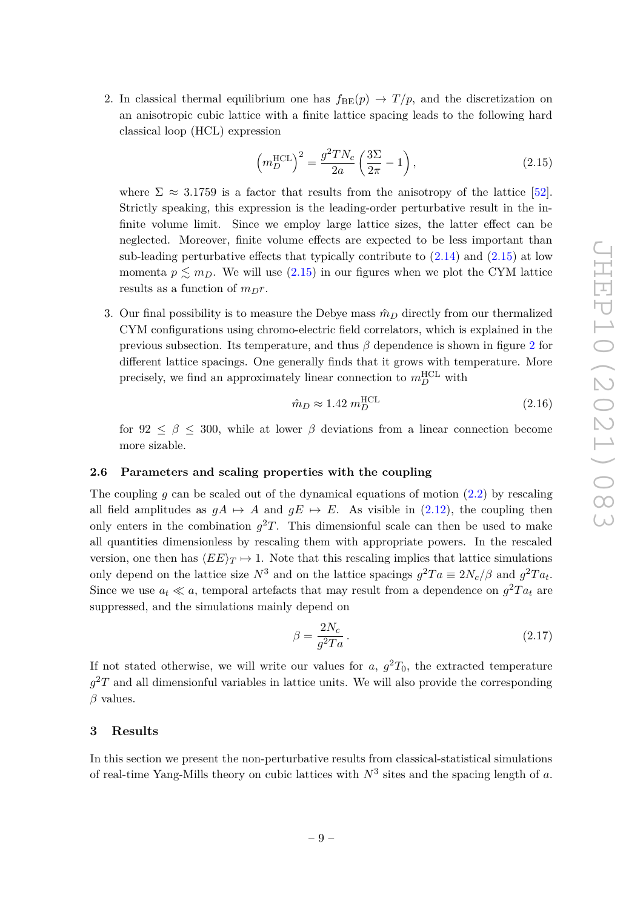2. In classical thermal equilibrium one has  $f_{BE}(p) \rightarrow T/p$ , and the discretization on an anisotropic cubic lattice with a finite lattice spacing leads to the following hard classical loop (HCL) expression

<span id="page-9-2"></span>
$$
\left(m_D^{\text{HCL}}\right)^2 = \frac{g^2 T N_c}{2a} \left(\frac{3\Sigma}{2\pi} - 1\right),\tag{2.15}
$$

where  $\Sigma \approx 3.1759$  is a factor that results from the anisotropy of the lattice [\[52\]](#page-24-1). Strictly speaking, this expression is the leading-order perturbative result in the infinite volume limit. Since we employ large lattice sizes, the latter effect can be neglected. Moreover, finite volume effects are expected to be less important than sub-leading perturbative effects that typically contribute to  $(2.14)$  and  $(2.15)$  at low momenta  $p \leq m_D$ . We will use [\(2.15\)](#page-9-2) in our figures when we plot the CYM lattice results as a function of  $m<sub>D</sub>r$ .

3. Our final possibility is to measure the Debye mass  $\hat{m}_D$  directly from our thermalized CYM configurations using chromo-electric field correlators, which is explained in the previous subsection. Its temperature, and thus *β* dependence is shown in figure [2](#page-8-1) for different lattice spacings. One generally finds that it grows with temperature. More precisely, we find an approximately linear connection to  $m_D^{\text{HCL}}$  with

<span id="page-9-3"></span>
$$
\hat{m}_D \approx 1.42 \; m_D^{\text{HCL}} \tag{2.16}
$$

for  $92 \leq \beta \leq 300$ , while at lower  $\beta$  deviations from a linear connection become more sizable.

#### <span id="page-9-0"></span>**2.6 Parameters and scaling properties with the coupling**

The coupling *g* can be scaled out of the dynamical equations of motion [\(2.2\)](#page-4-3) by rescaling all field amplitudes as  $gA \mapsto A$  and  $gE \mapsto E$ . As visible in [\(2.12\)](#page-7-1), the coupling then only enters in the combination  $g^2T$ . This dimensionful scale can then be used to make all quantities dimensionless by rescaling them with appropriate powers. In the rescaled version, one then has  $\langle EE \rangle_T \mapsto 1$ . Note that this rescaling implies that lattice simulations only depend on the lattice size  $N^3$  and on the lattice spacings  $g^2Ta \equiv 2N_c/\beta$  and  $g^2Ta_t$ . Since we use  $a_t \ll a$ , temporal artefacts that may result from a dependence on  $g^2 T a_t$  are suppressed, and the simulations mainly depend on

$$
\beta = \frac{2N_c}{g^2Ta} \,. \tag{2.17}
$$

If not stated otherwise, we will write our values for  $a, g^2T_0$ , the extracted temperature  $g<sup>2</sup>T$  and all dimensionful variables in lattice units. We will also provide the corresponding *β* values.

## <span id="page-9-1"></span>**3 Results**

In this section we present the non-perturbative results from classical-statistical simulations of real-time Yang-Mills theory on cubic lattices with  $N^3$  sites and the spacing length of *a*.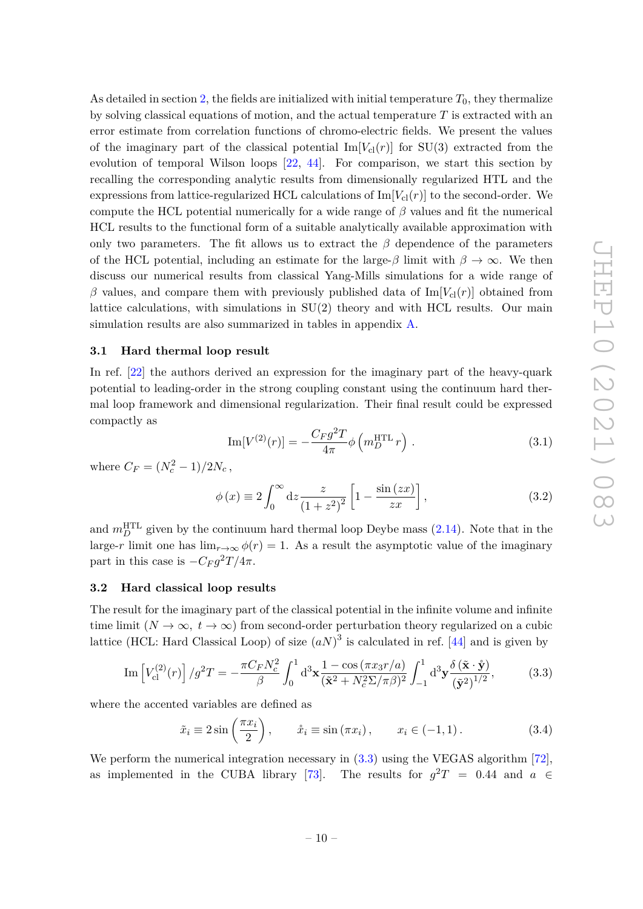As detailed in section [2,](#page-3-0) the fields are initialized with initial temperature  $T_0$ , they thermalize by solving classical equations of motion, and the actual temperature *T* is extracted with an error estimate from correlation functions of chromo-electric fields. We present the values of the imaginary part of the classical potential  $\text{Im}[V_{\text{cl}}(r)]$  for SU(3) extracted from the evolution of temporal Wilson loops [\[22,](#page-22-3) [44\]](#page-23-3). For comparison, we start this section by recalling the corresponding analytic results from dimensionally regularized HTL and the expressions from lattice-regularized HCL calculations of  $\text{Im}[V_{\text{cl}}(r)]$  to the second-order. We compute the HCL potential numerically for a wide range of *β* values and fit the numerical HCL results to the functional form of a suitable analytically available approximation with only two parameters. The fit allows us to extract the  $\beta$  dependence of the parameters of the HCL potential, including an estimate for the large- $\beta$  limit with  $\beta \to \infty$ . We then discuss our numerical results from classical Yang-Mills simulations for a wide range of *β* values, and compare them with previously published data of Im $[V<sub>cl</sub>(r)]$  obtained from lattice calculations, with simulations in  $SU(2)$  theory and with HCL results. Our main simulation results are also summarized in tables in appendix [A.](#page-19-0)

#### <span id="page-10-0"></span>**3.1 Hard thermal loop result**

In ref. [\[22\]](#page-22-3) the authors derived an expression for the imaginary part of the heavy-quark potential to leading-order in the strong coupling constant using the continuum hard thermal loop framework and dimensional regularization. Their final result could be expressed compactly as

<span id="page-10-4"></span>Im[V<sup>(2)</sup>(r)] = 
$$
-\frac{C_F g^2 T}{4\pi} \phi \left( m_D^{\text{HTL}} r \right)
$$
. (3.1)

where  $C_F = (N_c^2 - 1)/2N_c$ ,

<span id="page-10-3"></span>
$$
\phi(x) \equiv 2 \int_0^\infty dz \frac{z}{\left(1 + z^2\right)^2} \left[1 - \frac{\sin(zx)}{zx}\right],\tag{3.2}
$$

and  $m_D^{\text{HTL}}$  given by the continuum hard thermal loop Deybe mass [\(2.14\)](#page-8-2). Note that in the large-*r* limit one has  $\lim_{r\to\infty} \phi(r) = 1$ . As a result the asymptotic value of the imaginary part in this case is  $-C_F g^2 T / 4\pi$ .

## <span id="page-10-1"></span>**3.2 Hard classical loop results**

The result for the imaginary part of the classical potential in the infinite volume and infinite time limit  $(N \to \infty, t \to \infty)$  from second-order perturbation theory regularized on a cubic lattice (HCL: Hard Classical Loop) of size  $(aN)^3$  is calculated in ref. [\[44\]](#page-23-3) and is given by

<span id="page-10-2"></span>
$$
\operatorname{Im}\left[V_{\mathrm{cl}}^{(2)}(r)\right]/g^2T = -\frac{\pi C_F N_c^2}{\beta} \int_0^1 \mathrm{d}^3 \mathbf{x} \frac{1 - \cos\left(\pi x_3 r/a\right)}{\left(\tilde{\mathbf{x}}^2 + N_c^2 \Sigma / \pi \beta\right)^2} \int_{-1}^1 \mathrm{d}^3 \mathbf{y} \frac{\delta\left(\tilde{\mathbf{x}} \cdot \mathbf{\dot{y}}\right)}{\left(\tilde{\mathbf{y}}^2\right)^{1/2}},\tag{3.3}
$$

where the accented variables are defined as

$$
\tilde{x}_i \equiv 2\sin\left(\frac{\pi x_i}{2}\right), \qquad \dot{x}_i \equiv \sin(\pi x_i), \qquad x_i \in (-1, 1). \tag{3.4}
$$

We perform the numerical integration necessary in  $(3.3)$  using the VEGAS algorithm [\[72\]](#page-25-3), as implemented in the CUBA library [\[73\]](#page-25-4). The results for  $g^2T = 0.44$  and  $a \in$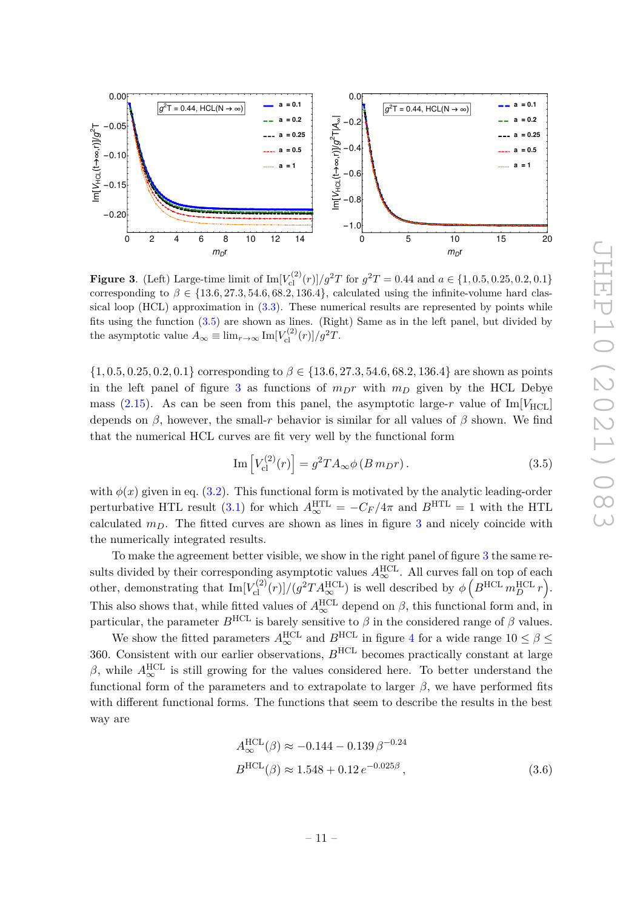

<span id="page-11-1"></span>**Figure 3.** (Left) Large-time limit of  $\text{Im}[V_{\text{cl}}^{(2)}(r)]/g^2T$  for  $g^2T = 0.44$  and  $a \in \{1, 0.5, 0.25, 0.2, 0.1\}$ corresponding to  $\beta \in \{13.6, 27.3, 54.6, 68.2, 136.4\}$ , calculated using the infinite-volume hard classical loop (HCL) approximation in  $(3.3)$ . These numerical results are represented by points while fits using the function [\(3.5\)](#page-11-0) are shown as lines. (Right) Same as in the left panel, but divided by the asymptotic value  $A_{\infty} \equiv \lim_{r \to \infty} \text{Im}[V_{\text{cl}}^{(2)}(r)]/g^2T$ .

{1*,* 0*.*5*,* 0*.*25*,* 0*.*2*,* 0*.*1} corresponding to *β* ∈ {13*.*6*,* 27*.*3*,* 54*.*6*,* 68*.*2*,* 136*.*4} are shown as points in the left panel of figure [3](#page-11-1) as functions of  $m<sub>D</sub>r$  with  $m<sub>D</sub>$  given by the HCL Debye mass [\(2.15\)](#page-9-2). As can be seen from this panel, the asymptotic large-*r* value of  $Im[V<sub>HCL</sub>]$ depends on  $\beta$ , however, the small-*r* behavior is similar for all values of  $\beta$  shown. We find that the numerical HCL curves are fit very well by the functional form

<span id="page-11-0"></span>
$$
\operatorname{Im}\left[V_{\text{cl}}^{(2)}(r)\right] = g^2 T A_{\infty} \phi \left(B \, m_D r\right). \tag{3.5}
$$

with  $\phi(x)$  given in eq. [\(3.2\)](#page-10-3). This functional form is motivated by the analytic leading-order perturbative HTL result [\(3.1\)](#page-10-4) for which  $A_{\infty}^{\text{HTL}} = -C_F/4\pi$  and  $B^{\text{HTL}} = 1$  with the HTL calculated  $m<sub>D</sub>$ . The fitted curves are shown as lines in figure [3](#page-11-1) and nicely coincide with the numerically integrated results.

To make the agreement better visible, we show in the right panel of figure [3](#page-11-1) the same results divided by their corresponding asymptotic values  $A_{\infty}^{\text{HCL}}$ . All curves fall on top of each other, demonstrating that  $\text{Im}[V_{\text{cl}}^{(2)}(r)]/(g^2 T A_{\infty}^{\text{HCL}})$  is well described by  $\phi\left(B^{\text{HCL}} m_{D}^{\text{HCL}} r\right)$ . This also shows that, while fitted values of  $A_{\infty}^{\text{HCL}}$  depend on  $\beta$ , this functional form and, in particular, the parameter  $B^{HCL}$  is barely sensitive to  $\beta$  in the considered range of  $\beta$  values.

We show the fitted parameters  $A_{\infty}^{\text{HCL}}$  and  $B^{\text{HCL}}$  in figure [4](#page-12-0) for a wide range  $10 \le \beta \le$ 360. Consistent with our earlier observations, *B*HCL becomes practically constant at large β, while  $A_{\infty}^{\text{HCL}}$  is still growing for the values considered here. To better understand the functional form of the parameters and to extrapolate to larger  $\beta$ , we have performed fits with different functional forms. The functions that seem to describe the results in the best way are

$$
A_{\infty}^{\text{HCL}}(\beta) \approx -0.144 - 0.139 \,\beta^{-0.24}
$$
  

$$
B^{\text{HCL}}(\beta) \approx 1.548 + 0.12 \, e^{-0.025\beta},\tag{3.6}
$$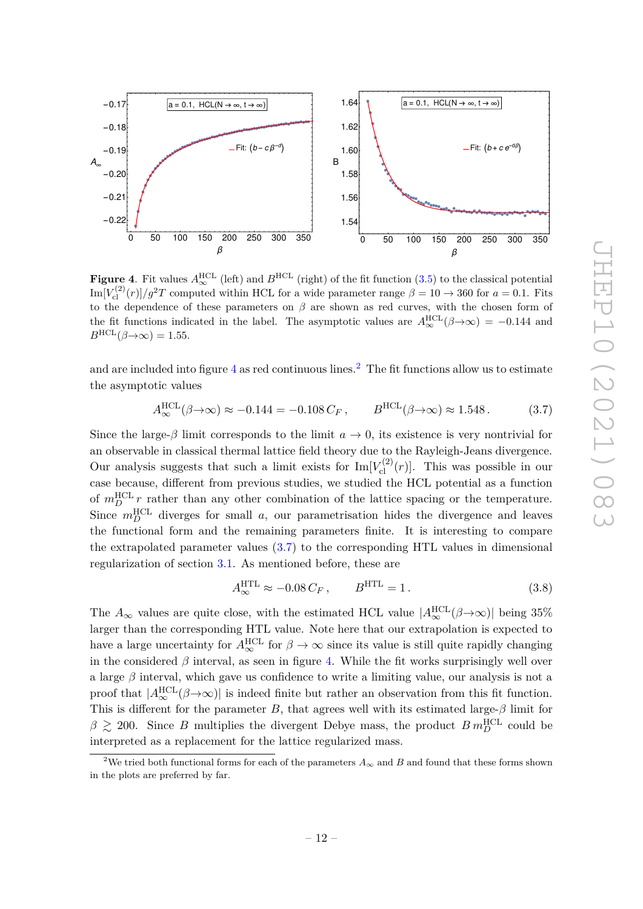

<span id="page-12-0"></span>**Figure 4.** Fit values  $A_{\infty}^{\text{HCL}}$  (left) and  $B^{\text{HCL}}$  (right) of the fit function [\(3.5\)](#page-11-0) to the classical potential  $\text{Im}[V_{\text{cl}}^{(2)}(r)]/g^2T$  computed within HCL for a wide parameter range  $\beta = 10 \rightarrow 360$  for  $a = 0.1$ . Fits to the dependence of these parameters on  $\beta$  are shown as red curves, with the chosen form of the fit functions indicated in the label. The asymptotic values are  $A_{\infty}^{\text{HCL}}(\beta \to \infty) = -0.144$  and  $B^{\text{HCL}}(\beta \rightarrow \infty) = 1.55$ .

and are included into figure  $4$  as red continuous lines.<sup>[2](#page-12-1)</sup> The fit functions allow us to estimate the asymptotic values

$$
A_{\infty}^{\text{HCL}}(\beta \to \infty) \approx -0.144 = -0.108 C_F, \qquad B^{\text{HCL}}(\beta \to \infty) \approx 1.548. \tag{3.7}
$$

Since the large- $\beta$  limit corresponds to the limit  $a \to 0$ , its existence is very nontrivial for an observable in classical thermal lattice field theory due to the Rayleigh-Jeans divergence. Our analysis suggests that such a limit exists for  $\text{Im}[V_{\text{cl}}^{(2)}(r)]$ . This was possible in our case because, different from previous studies, we studied the HCL potential as a function of  $m_D^{\text{HCL}} r$  rather than any other combination of the lattice spacing or the temperature. Since  $m_D^{\text{HCL}}$  diverges for small *a*, our parametrisation hides the divergence and leaves the functional form and the remaining parameters finite. It is interesting to compare the extrapolated parameter values [\(3.7\)](#page-12-2) to the corresponding HTL values in dimensional regularization of section [3.1.](#page-10-0) As mentioned before, these are

<span id="page-12-3"></span><span id="page-12-2"></span>
$$
A_{\infty}^{\text{HTL}} \approx -0.08 C_F, \qquad B^{\text{HTL}} = 1. \tag{3.8}
$$

The  $A_{\infty}$  values are quite close, with the estimated HCL value  $|A_{\infty}^{\text{HCL}}(\beta \to \infty)|$  being 35% larger than the corresponding HTL value. Note here that our extrapolation is expected to have a large uncertainty for  $A_{\infty}^{\text{HCL}}$  for  $\beta \to \infty$  since its value is still quite rapidly changing in the considered  $\beta$  interval, as seen in figure [4.](#page-12-0) While the fit works surprisingly well over a large  $\beta$  interval, which gave us confidence to write a limiting value, our analysis is not a proof that  $|A_{\infty}^{HCL}(\beta \to \infty)|$  is indeed finite but rather an observation from this fit function. This is different for the parameter *B*, that agrees well with its estimated large- $\beta$  limit for  $\beta \geq 200$ . Since *B* multiplies the divergent Debye mass, the product  $B m_D^{\text{HCL}}$  could be interpreted as a replacement for the lattice regularized mass.

<span id="page-12-1"></span><sup>&</sup>lt;sup>2</sup>We tried both functional forms for each of the parameters  $A_{\infty}$  and *B* and found that these forms shown in the plots are preferred by far.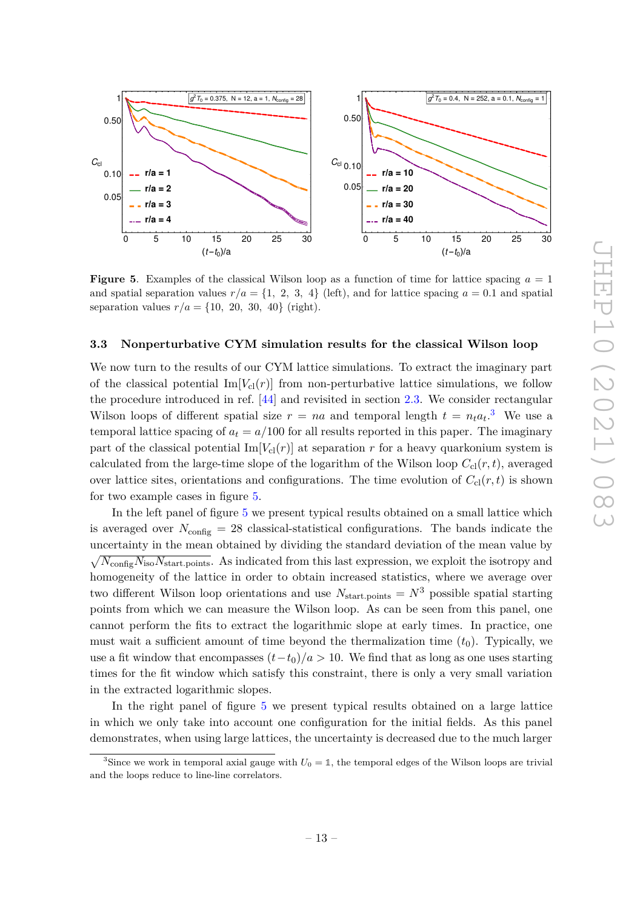

<span id="page-13-2"></span>**Figure 5.** Examples of the classical Wilson loop as a function of time for lattice spacing  $a = 1$ and spatial separation values  $r/a = \{1, 2, 3, 4\}$  (left), and for lattice spacing  $a = 0.1$  and spatial separation values  $r/a = \{10, 20, 30, 40\}$  (right).

#### <span id="page-13-0"></span>**3.3 Nonperturbative CYM simulation results for the classical Wilson loop**

We now turn to the results of our CYM lattice simulations. To extract the imaginary part of the classical potential  $Im[V_{cl}(r)]$  from non-perturbative lattice simulations, we follow the procedure introduced in ref. [\[44\]](#page-23-3) and revisited in section [2.3.](#page-4-2) We consider rectangular Wilson loops of different spatial size  $r = na$  and temporal length  $t = n_t a_t$ <sup>[3](#page-13-1)</sup>. We use a temporal lattice spacing of  $a_t = a/100$  for all results reported in this paper. The imaginary part of the classical potential  $\text{Im}[V_{\text{cl}}(r)]$  at separation r for a heavy quarkonium system is calculated from the large-time slope of the logarithm of the Wilson loop  $C_{\text{cl}}(r, t)$ , averaged over lattice sites, orientations and configurations. The time evolution of  $C_{\text{cl}}(r, t)$  is shown for two example cases in figure [5.](#page-13-2)

In the left panel of figure [5](#page-13-2) we present typical results obtained on a small lattice which is averaged over  $N_{\text{config}} = 28$  classical-statistical configurations. The bands indicate the uncertainty in the mean obtained by dividing the standard deviation of the mean value by  $\sqrt{N_{\text{config}}N_{\text{iso}}N_{\text{start},\text{points}}}$ . As indicated from this last expression, we exploit the isotropy and homogeneity of the lattice in order to obtain increased statistics, where we average over two different Wilson loop orientations and use  $N_{\text{start},\text{points}} = N^3$  possible spatial starting points from which we can measure the Wilson loop. As can be seen from this panel, one cannot perform the fits to extract the logarithmic slope at early times. In practice, one must wait a sufficient amount of time beyond the thermalization time  $(t_0)$ . Typically, we use a fit window that encompasses  $(t-t_0)/a > 10$ . We find that as long as one uses starting times for the fit window which satisfy this constraint, there is only a very small variation in the extracted logarithmic slopes.

In the right panel of figure [5](#page-13-2) we present typical results obtained on a large lattice in which we only take into account one configuration for the initial fields. As this panel demonstrates, when using large lattices, the uncertainty is decreased due to the much larger

<span id="page-13-1"></span><sup>&</sup>lt;sup>3</sup>Since we work in temporal axial gauge with  $U_0 = 1$ , the temporal edges of the Wilson loops are trivial and the loops reduce to line-line correlators.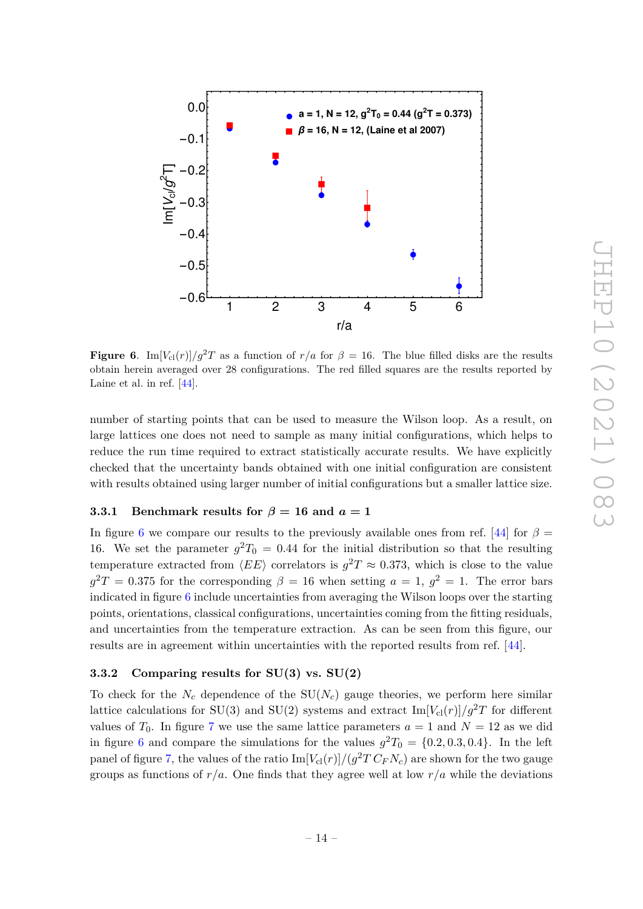

<span id="page-14-2"></span>**Figure 6.** Im $[V_c](r)/g^2T$  as a function of  $r/a$  for  $\beta = 16$ . The blue filled disks are the results obtain herein averaged over 28 configurations. The red filled squares are the results reported by Laine et al. in ref. [\[44\]](#page-23-3).

number of starting points that can be used to measure the Wilson loop. As a result, on large lattices one does not need to sample as many initial configurations, which helps to reduce the run time required to extract statistically accurate results. We have explicitly checked that the uncertainty bands obtained with one initial configuration are consistent with results obtained using larger number of initial configurations but a smaller lattice size.

#### <span id="page-14-0"></span>**3.3.1 Benchmark results for**  $\beta = 16$  and  $a = 1$

In figure [6](#page-14-2) we compare our results to the previously available ones from ref. [\[44\]](#page-23-3) for  $\beta$  = 16. We set the parameter  $g^2T_0 = 0.44$  for the initial distribution so that the resulting temperature extracted from  $\langle EE \rangle$  correlators is  $g^2T \approx 0.373$ , which is close to the value  $g^2T = 0.375$  for the corresponding  $\beta = 16$  when setting  $a = 1, g^2 = 1$ . The error bars indicated in figure  $6$  include uncertainties from averaging the Wilson loops over the starting points, orientations, classical configurations, uncertainties coming from the fitting residuals, and uncertainties from the temperature extraction. As can be seen from this figure, our results are in agreement within uncertainties with the reported results from ref. [\[44\]](#page-23-3).

## <span id="page-14-1"></span>**3.3.2 Comparing results for SU(3) vs. SU(2)**

To check for the  $N_c$  dependence of the  $SU(N_c)$  gauge theories, we perform here similar lattice calculations for SU(3) and SU(2) systems and extract  $\text{Im}[V_{\text{cl}}(r)]/g^2T$  for different values of  $T_0$ . In figure [7](#page-15-1) we use the same lattice parameters  $a = 1$  and  $N = 12$  as we did in figure [6](#page-14-2) and compare the simulations for the values  $g^2T_0 = \{0.2, 0.3, 0.4\}$ . In the left panel of figure [7,](#page-15-1) the values of the ratio  $\text{Im}[V_{\text{cl}}(r)]/(g^2T C_F N_c)$  are shown for the two gauge groups as functions of  $r/a$ . One finds that they agree well at low  $r/a$  while the deviations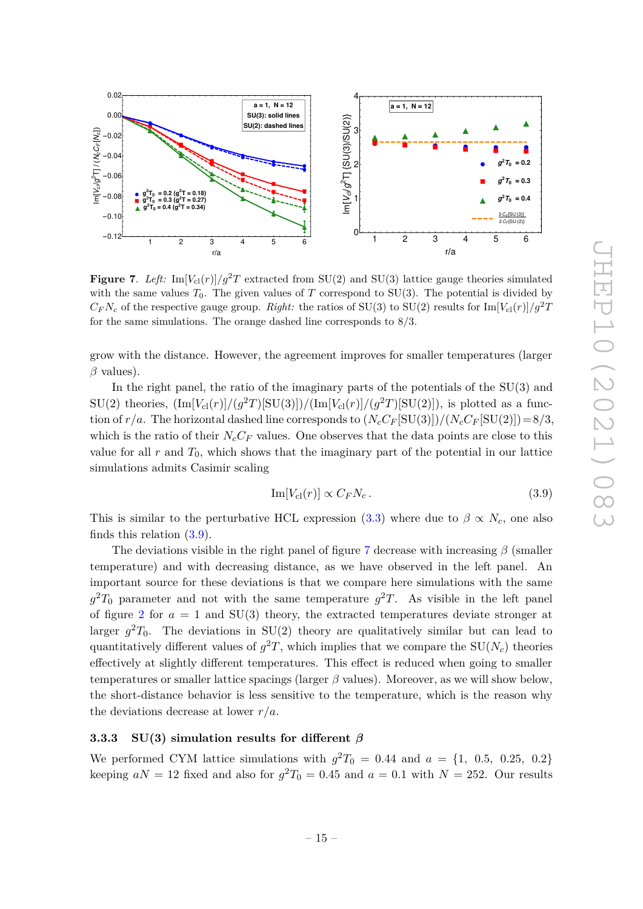

<span id="page-15-1"></span>**Figure 7.** *Left:* Im $[V_{\text{cl}}(r)]/g^2T$  extracted from SU(2) and SU(3) lattice gauge theories simulated with the same values  $T_0$ . The given values of *T* correspond to SU(3). The potential is divided by  $C_F N_c$  of the respective gauge group. *Right:* the ratios of SU(3) to SU(2) results for  $Im[V_c(r)]/g^2T$ for the same simulations. The orange dashed line corresponds to 8*/*3.

grow with the distance. However, the agreement improves for smaller temperatures (larger  $\beta$  values).

In the right panel, the ratio of the imaginary parts of the potentials of the SU(3) and  $SU(2)$  theories,  $(\text{Im}[V_{\text{cl}}(r)]/(g^2T)[SU(3)])/( \text{Im}[V_{\text{cl}}(r)]/(g^2T)[SU(2)]),$  is plotted as a function of  $r/a$ . The horizontal dashed line corresponds to  $(N_c C_F[SU(3)])/(N_c C_F[SU(2)])=8/3$ , which is the ratio of their  $N_cC_F$  values. One observes that the data points are close to this value for all  $r$  and  $T_0$ , which shows that the imaginary part of the potential in our lattice simulations admits Casimir scaling

<span id="page-15-2"></span>
$$
\text{Im}[V_{\text{cl}}(r)] \propto C_F N_c \,. \tag{3.9}
$$

This is similar to the perturbative HCL expression [\(3.3\)](#page-10-2) where due to  $\beta \propto N_c$ , one also finds this relation [\(3.9\)](#page-15-2).

The deviations visible in the right panel of figure [7](#page-15-1) decrease with increasing  $\beta$  (smaller temperature) and with decreasing distance, as we have observed in the left panel. An important source for these deviations is that we compare here simulations with the same  $g^2T_0$  parameter and not with the same temperature  $g^2T$ . As visible in the left panel of figure [2](#page-8-1) for  $a = 1$  and SU(3) theory, the extracted temperatures deviate stronger at larger  $g^2T_0$ . The deviations in SU(2) theory are qualitatively similar but can lead to quantitatively different values of  $g^2T$ , which implies that we compare the  $SU(N_c)$  theories effectively at slightly different temperatures. This effect is reduced when going to smaller temperatures or smaller lattice spacings (larger  $\beta$  values). Moreover, as we will show below, the short-distance behavior is less sensitive to the temperature, which is the reason why the deviations decrease at lower *r/a*.

## <span id="page-15-0"></span>**3.3.3 SU(3) simulation results for different** *β*

We performed CYM lattice simulations with  $g^2T_0 = 0.44$  and  $a = \{1, 0.5, 0.25, 0.2\}$ keeping  $aN = 12$  fixed and also for  $g^2T_0 = 0.45$  and  $a = 0.1$  with  $N = 252$ . Our results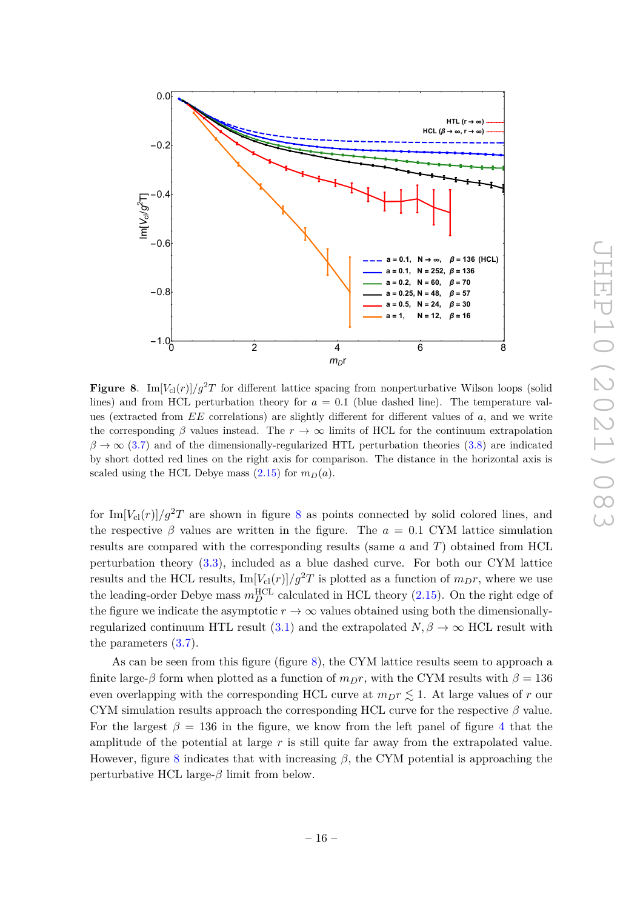

<span id="page-16-0"></span>**Figure 8.** Im $[V_c](r)/g^2T$  for different lattice spacing from nonperturbative Wilson loops (solid lines) and from HCL perturbation theory for  $a = 0.1$  (blue dashed line). The temperature values (extracted from *EE* correlations) are slightly different for different values of *a*, and we write the corresponding  $\beta$  values instead. The  $r \to \infty$  limits of HCL for the continuum extrapolation  $\beta \rightarrow \infty$  [\(3.7\)](#page-12-2) and of the dimensionally-regularized HTL perturbation theories [\(3.8\)](#page-12-3) are indicated by short dotted red lines on the right axis for comparison. The distance in the horizontal axis is scaled using the HCL Debye mass  $(2.15)$  for  $m_D(a)$ .

for  $\text{Im}[V_{\text{cl}}(r)]/q^2T$  are shown in figure [8](#page-16-0) as points connected by solid colored lines, and the respective *β* values are written in the figure. The  $a = 0.1$  CYM lattice simulation results are compared with the corresponding results (same *a* and *T*) obtained from HCL perturbation theory [\(3.3\)](#page-10-2), included as a blue dashed curve. For both our CYM lattice results and the HCL results,  $\text{Im}[V_{\text{cl}}(r)]/g^2T$  is plotted as a function of  $m_Dr$ , where we use the leading-order Debye mass  $m_D^{\text{HCL}}$  calculated in HCL theory [\(2.15\)](#page-9-2). On the right edge of the figure we indicate the asymptotic  $r \to \infty$  values obtained using both the dimensionally-regularized continuum HTL result [\(3.1\)](#page-10-4) and the extrapolated  $N, \beta \to \infty$  HCL result with the parameters [\(3.7\)](#page-12-2).

As can be seen from this figure (figure [8\)](#page-16-0), the CYM lattice results seem to approach a finite large- $\beta$  form when plotted as a function of  $m_{D}r$ , with the CYM results with  $\beta = 136$ even overlapping with the corresponding HCL curve at  $m_D r \lesssim 1$ . At large values of *r* our CYM simulation results approach the corresponding HCL curve for the respective *β* value. For the largest  $\beta = 136$  in the figure, we know from the left panel of figure [4](#page-12-0) that the amplitude of the potential at large *r* is still quite far away from the extrapolated value. However, figure [8](#page-16-0) indicates that with increasing *β*, the CYM potential is approaching the perturbative HCL large-*β* limit from below.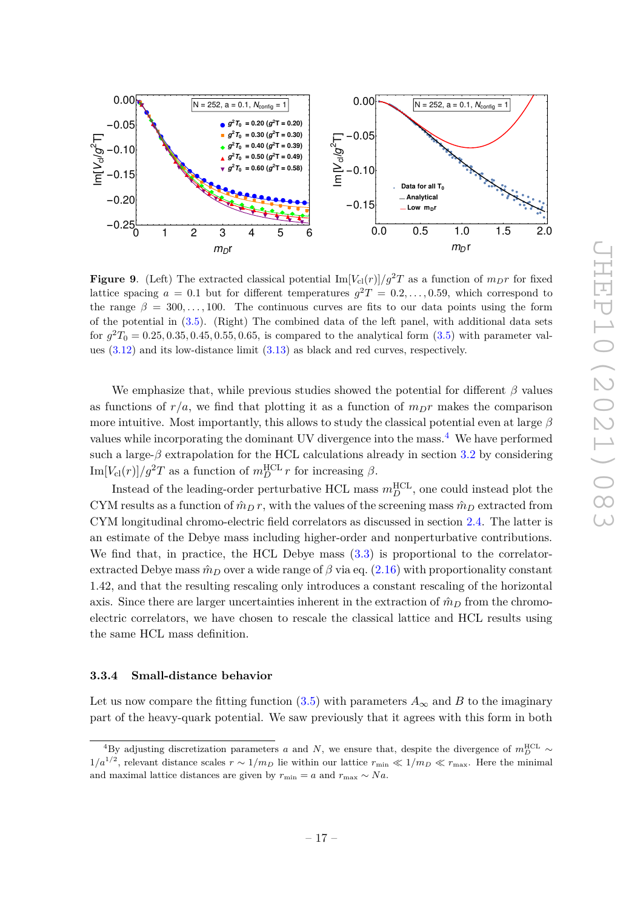

<span id="page-17-2"></span>**Figure 9.** (Left) The extracted classical potential  $\text{Im}[V_{\text{cl}}(r)]/g^2T$  as a function of  $m_Dr$  for fixed lattice spacing  $a = 0.1$  but for different temperatures  $g^2T = 0.2, \ldots, 0.59$ , which correspond to the range  $\beta = 300, \ldots, 100$ . The continuous curves are fits to our data points using the form of the potential in [\(3.5\)](#page-11-0). (Right) The combined data of the left panel, with additional data sets for  $g^2T_0 = 0.25, 0.35, 0.45, 0.55, 0.65$ , is compared to the analytical form  $(3.5)$  with parameter values [\(3.12\)](#page-18-1) and its low-distance limit [\(3.13\)](#page-18-2) as black and red curves, respectively.

We emphasize that, while previous studies showed the potential for different *β* values as functions of  $r/a$ , we find that plotting it as a function of  $m<sub>DT</sub>$  makes the comparison more intuitive. Most importantly, this allows to study the classical potential even at large *β* values while incorporating the dominant UV divergence into the mass.[4](#page-17-1) We have performed such a large- $\beta$  extrapolation for the HCL calculations already in section [3.2](#page-10-1) by considering  $\text{Im}[V_{\text{cl}}(r)]/g^2T$  as a function of  $m_D^{\text{HCL}} r$  for increasing  $\beta$ .

Instead of the leading-order perturbative HCL mass  $m_D^{\text{HCL}}$ , one could instead plot the CYM results as a function of  $\hat{m}_D r$ , with the values of the screening mass  $\hat{m}_D$  extracted from CYM longitudinal chromo-electric field correlators as discussed in section [2.4.](#page-5-0) The latter is an estimate of the Debye mass including higher-order and nonperturbative contributions. We find that, in practice, the HCL Debye mass  $(3.3)$  is proportional to the correlatorextracted Debye mass  $\hat{m}_D$  over a wide range of  $\beta$  via eq. [\(2.16\)](#page-9-3) with proportionality constant 1*.*42, and that the resulting rescaling only introduces a constant rescaling of the horizontal axis. Since there are larger uncertainties inherent in the extraction of  $\hat{m}_D$  from the chromoelectric correlators, we have chosen to rescale the classical lattice and HCL results using the same HCL mass definition.

#### <span id="page-17-0"></span>**3.3.4 Small-distance behavior**

Let us now compare the fitting function  $(3.5)$  with parameters  $A_{\infty}$  and *B* to the imaginary part of the heavy-quark potential. We saw previously that it agrees with this form in both

<span id="page-17-1"></span><sup>&</sup>lt;sup>4</sup>By adjusting discretization parameters *a* and *N*, we ensure that, despite the divergence of  $m_D^{\text{HCL}}$  ~  $1/a^{1/2}$ , relevant distance scales  $r \sim 1/m_D$  lie within our lattice  $r_{\min} \ll 1/m_D \ll r_{\max}$ . Here the minimal and maximal lattice distances are given by  $r_{\min} = a$  and  $r_{\max} \sim Na$ .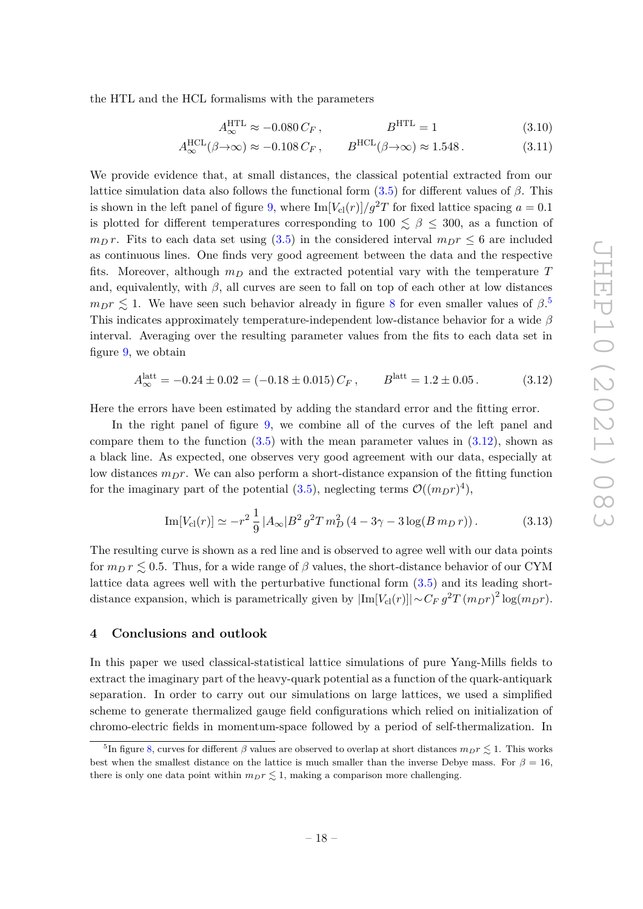the HTL and the HCL formalisms with the parameters

$$
A_{\infty}^{\text{HTL}} \approx -0.080 C_F, \qquad B^{\text{HTL}} = 1 \tag{3.10}
$$

$$
A_{\infty}^{\text{HCL}}(\beta \to \infty) \approx -0.108 C_F, \qquad B^{\text{HCL}}(\beta \to \infty) \approx 1.548. \tag{3.11}
$$

We provide evidence that, at small distances, the classical potential extracted from our lattice simulation data also follows the functional form [\(3.5\)](#page-11-0) for different values of *β*. This is shown in the left panel of figure [9,](#page-17-2) where  $\text{Im}[V_{\text{cl}}(r)]/g^2T$  for fixed lattice spacing  $a = 0.1$ is plotted for different temperatures corresponding to  $100 \le \beta \le 300$ , as a function of *m*<sub>D</sub>*r*. Fits to each data set using [\(3.5\)](#page-11-0) in the considered interval  $m_{D}r \leq 6$  are included as continuous lines. One finds very good agreement between the data and the respective fits. Moreover, although *m<sup>D</sup>* and the extracted potential vary with the temperature *T* and, equivalently, with  $\beta$ , all curves are seen to fall on top of each other at low distances  $m_D r \lesssim 1$ . We have seen such behavior already in figure [8](#page-16-0) for even smaller values of  $\beta$ <sup>[5](#page-18-3)</sup> This indicates approximately temperature-independent low-distance behavior for a wide *β* interval. Averaging over the resulting parameter values from the fits to each data set in figure [9,](#page-17-2) we obtain

$$
A_{\infty}^{\text{latt}} = -0.24 \pm 0.02 = (-0.18 \pm 0.015) C_F, \qquad B^{\text{latt}} = 1.2 \pm 0.05. \tag{3.12}
$$

Here the errors have been estimated by adding the standard error and the fitting error.

In the right panel of figure [9,](#page-17-2) we combine all of the curves of the left panel and compare them to the function  $(3.5)$  with the mean parameter values in  $(3.12)$ , shown as a black line. As expected, one observes very good agreement with our data, especially at low distances  $m<sub>DT</sub>$ . We can also perform a short-distance expansion of the fitting function for the imaginary part of the potential  $(3.5)$ , neglecting terms  $\mathcal{O}((m_D r)^4)$ ,

<span id="page-18-2"></span><span id="page-18-1"></span>
$$
\operatorname{Im}[V_{\text{cl}}(r)] \simeq -r^2 \frac{1}{9} |A_{\infty}| B^2 g^2 T m_D^2 (4 - 3\gamma - 3 \log(B m_D r)). \tag{3.13}
$$

The resulting curve is shown as a red line and is observed to agree well with our data points for  $m_D r \leq 0.5$ . Thus, for a wide range of  $\beta$  values, the short-distance behavior of our CYM lattice data agrees well with the perturbative functional form [\(3.5\)](#page-11-0) and its leading shortdistance expansion, which is parametrically given by  $|\text{Im}[V_{\text{cl}}(r)|] \sim C_F g^2 T (m_D r)^2 \log(m_D r)$ .

#### <span id="page-18-0"></span>**4 Conclusions and outlook**

In this paper we used classical-statistical lattice simulations of pure Yang-Mills fields to extract the imaginary part of the heavy-quark potential as a function of the quark-antiquark separation. In order to carry out our simulations on large lattices, we used a simplified scheme to generate thermalized gauge field configurations which relied on initialization of chromo-electric fields in momentum-space followed by a period of self-thermalization. In

<span id="page-18-3"></span><sup>&</sup>lt;sup>5</sup>In figure [8,](#page-16-0) curves for different  $\beta$  values are observed to overlap at short distances  $m_D r \lesssim 1$ . This works best when the smallest distance on the lattice is much smaller than the inverse Debye mass. For  $\beta = 16$ , there is only one data point within  $m_D r \lesssim 1$ , making a comparison more challenging.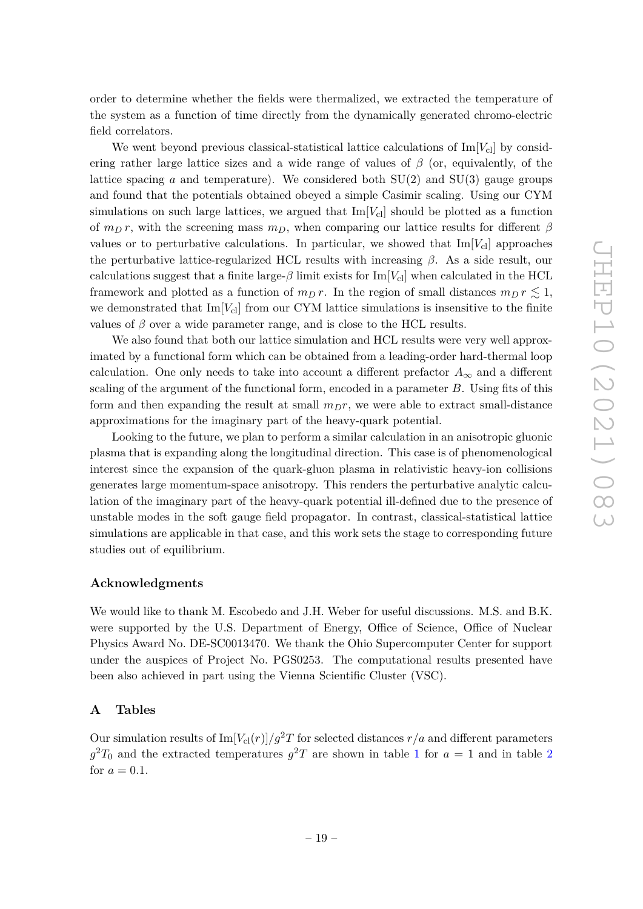order to determine whether the fields were thermalized, we extracted the temperature of the system as a function of time directly from the dynamically generated chromo-electric field correlators.

We went beyond previous classical-statistical lattice calculations of  $\text{Im}[V_{\text{cl}}]$  by considering rather large lattice sizes and a wide range of values of  $\beta$  (or, equivalently, of the lattice spacing  $a$  and temperature). We considered both  $SU(2)$  and  $SU(3)$  gauge groups and found that the potentials obtained obeyed a simple Casimir scaling. Using our CYM simulations on such large lattices, we argued that  $Im[V_{\text{cl}}]$  should be plotted as a function of  $m_D r$ , with the screening mass  $m_D$ , when comparing our lattice results for different  $\beta$ values or to perturbative calculations. In particular, we showed that  $\text{Im}[V_{\text{cl}}]$  approaches the perturbative lattice-regularized HCL results with increasing *β*. As a side result, our calculations suggest that a finite large- $\beta$  limit exists for Im[ $V_{\text{cl}}$ ] when calculated in the HCL framework and plotted as a function of  $m_p r$ . In the region of small distances  $m_p r \leq 1$ , we demonstrated that  $Im[V_{\text{cl}}]$  from our CYM lattice simulations is insensitive to the finite values of  $\beta$  over a wide parameter range, and is close to the HCL results.

We also found that both our lattice simulation and HCL results were very well approximated by a functional form which can be obtained from a leading-order hard-thermal loop calculation. One only needs to take into account a different prefactor  $A_{\infty}$  and a different scaling of the argument of the functional form, encoded in a parameter *B*. Using fits of this form and then expanding the result at small  $m<sub>D</sub>r$ , we were able to extract small-distance approximations for the imaginary part of the heavy-quark potential.

Looking to the future, we plan to perform a similar calculation in an anisotropic gluonic plasma that is expanding along the longitudinal direction. This case is of phenomenological interest since the expansion of the quark-gluon plasma in relativistic heavy-ion collisions generates large momentum-space anisotropy. This renders the perturbative analytic calculation of the imaginary part of the heavy-quark potential ill-defined due to the presence of unstable modes in the soft gauge field propagator. In contrast, classical-statistical lattice simulations are applicable in that case, and this work sets the stage to corresponding future studies out of equilibrium.

## **Acknowledgments**

We would like to thank M. Escobedo and J.H. Weber for useful discussions. M.S. and B.K. were supported by the U.S. Department of Energy, Office of Science, Office of Nuclear Physics Award No. DE-SC0013470. We thank the Ohio Supercomputer Center for support under the auspices of Project No. PGS0253. The computational results presented have been also achieved in part using the Vienna Scientific Cluster (VSC).

## <span id="page-19-0"></span>**A Tables**

Our simulation results of  $\text{Im}[V_{\text{cl}}(r)]/g^2T$  for selected distances  $r/a$  and different parameters  $g^2T_0$  $g^2T_0$  $g^2T_0$  and the extracted temperatures  $g^2T$  are shown in table [1](#page-20-0) for  $a=1$  and in table 2 for  $a = 0.1$ .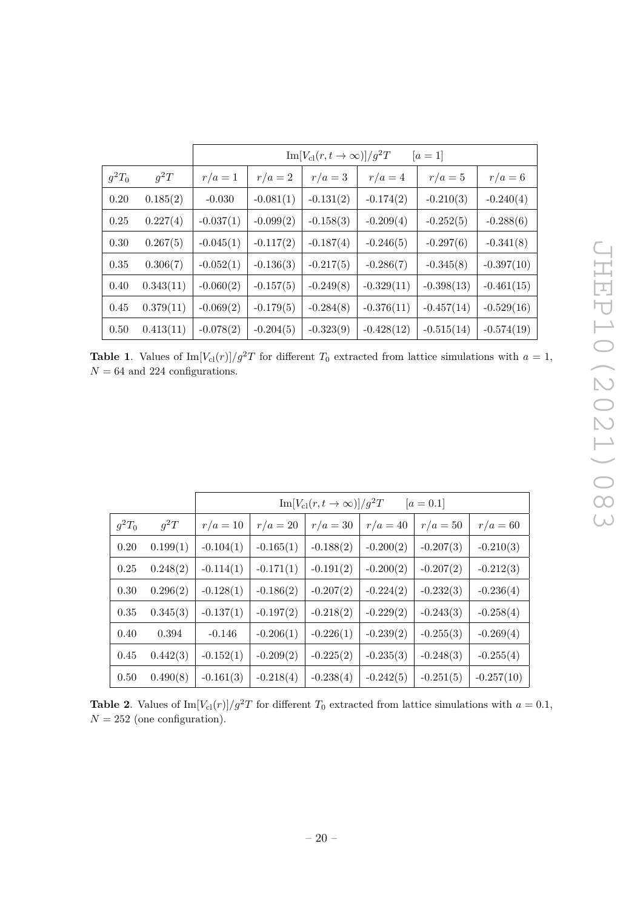|          |           | $Im[V_{cl}(r,t\rightarrow\infty)]/g^2T$<br>$[a=1]$ |             |             |              |              |              |  |
|----------|-----------|----------------------------------------------------|-------------|-------------|--------------|--------------|--------------|--|
| $g^2T_0$ | $g^2T$    | $r/a=1$                                            | $r/a=2$     | $r/a=3$     | $r/a=4$      | $r/a=5$      | $r/a=6$      |  |
| 0.20     | 0.185(2)  | $-0.030$                                           | $-0.081(1)$ | $-0.131(2)$ | $-0.174(2)$  | $-0.210(3)$  | $-0.240(4)$  |  |
| $0.25\,$ | 0.227(4)  | $-0.037(1)$                                        | $-0.099(2)$ | $-0.158(3)$ | $-0.209(4)$  | $-0.252(5)$  | $-0.288(6)$  |  |
| 0.30     | 0.267(5)  | $-0.045(1)$                                        | $-0.117(2)$ | $-0.187(4)$ | $-0.246(5)$  | $-0.297(6)$  | $-0.341(8)$  |  |
| 0.35     | 0.306(7)  | $-0.052(1)$                                        | $-0.136(3)$ | $-0.217(5)$ | $-0.286(7)$  | $-0.345(8)$  | $-0.397(10)$ |  |
| 0.40     | 0.343(11) | $-0.060(2)$                                        | $-0.157(5)$ | $-0.249(8)$ | $-0.329(11)$ | $-0.398(13)$ | $-0.461(15)$ |  |
| 0.45     | 0.379(11) | $-0.069(2)$                                        | $-0.179(5)$ | $-0.284(8)$ | $-0.376(11)$ | $-0.457(14)$ | $-0.529(16)$ |  |
| 0.50     | 0.413(11) | $-0.078(2)$                                        | $-0.204(5)$ | $-0.323(9)$ | $-0.428(12)$ | $-0.515(14)$ | $-0.574(19)$ |  |

<span id="page-20-0"></span>**Table 1**. Values of  $\text{Im}[V_{\text{cl}}(r)]/g^2T$  for different  $T_0$  extracted from lattice simulations with  $a = 1$ ,  $N = 64$  and 224 configurations.

|          |          | $\text{Im}[V_{\text{cl}}(r,t\rightarrow\infty)]/g^2T$<br>$[a = 0.1]$ |             |             |             |             |              |  |
|----------|----------|----------------------------------------------------------------------|-------------|-------------|-------------|-------------|--------------|--|
| $g^2T_0$ | $g^2T$   | $r/a=10$                                                             | $r/a=20$    | $r/a=30$    | $r/a = 40$  | $r/a = 50$  | $r/a = 60$   |  |
| 0.20     | 0.199(1) | $-0.104(1)$                                                          | $-0.165(1)$ | $-0.188(2)$ | $-0.200(2)$ | $-0.207(3)$ | $-0.210(3)$  |  |
| 0.25     | 0.248(2) | $-0.114(1)$                                                          | $-0.171(1)$ | $-0.191(2)$ | $-0.200(2)$ | $-0.207(2)$ | $-0.212(3)$  |  |
| 0.30     | 0.296(2) | $-0.128(1)$                                                          | $-0.186(2)$ | $-0.207(2)$ | $-0.224(2)$ | $-0.232(3)$ | $-0.236(4)$  |  |
| 0.35     | 0.345(3) | $-0.137(1)$                                                          | $-0.197(2)$ | $-0.218(2)$ | $-0.229(2)$ | $-0.243(3)$ | $-0.258(4)$  |  |
| 0.40     | 0.394    | $-0.146$                                                             | $-0.206(1)$ | $-0.226(1)$ | $-0.239(2)$ | $-0.255(3)$ | $-0.269(4)$  |  |
| 0.45     | 0.442(3) | $-0.152(1)$                                                          | $-0.209(2)$ | $-0.225(2)$ | $-0.235(3)$ | $-0.248(3)$ | $-0.255(4)$  |  |
| 0.50     | 0.490(8) | $-0.161(3)$                                                          | $-0.218(4)$ | $-0.238(4)$ | $-0.242(5)$ | $-0.251(5)$ | $-0.257(10)$ |  |

<span id="page-20-1"></span>**Table 2**. Values of  $\text{Im}[V_{\text{cl}}(r)]/g^2T$  for different  $T_0$  extracted from lattice simulations with  $a = 0.1$ ,  $N = 252$  (one configuration).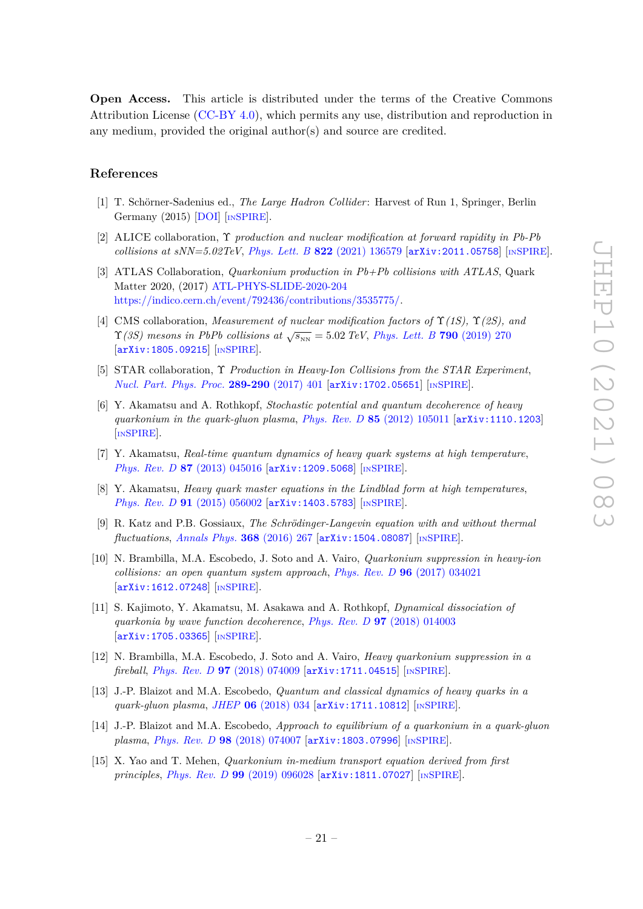**Open Access.** This article is distributed under the terms of the Creative Commons Attribution License [\(CC-BY 4.0\)](https://creativecommons.org/licenses/by/4.0/), which permits any use, distribution and reproduction in any medium, provided the original author(s) and source are credited.

# **References**

- <span id="page-21-0"></span>[1] T. Schörner-Sadenius ed., *The Large Hadron Collider*: Harvest of Run 1, Springer, Berlin Germany (2015) [\[DOI\]](https://doi.org/10.1007/978-3-319-15001-7) [IN[SPIRE](https://inspirehep.net/search?p=find+doi%20%2210.1007%2F978-3-319-15001-7%22)].
- <span id="page-21-1"></span>[2] ALICE collaboration, Υ *production and nuclear modification at forward rapidity in Pb-Pb collisions at sNN=5.02TeV*, *Phys. Lett. B* **822** [\(2021\) 136579](https://doi.org/10.1016/j.physletb.2021.136579) [[arXiv:2011.05758](https://arxiv.org/abs/2011.05758)] [IN[SPIRE](https://inspirehep.net/search?p=find+EPRINT%2BarXiv%3A2011.05758)].
- [3] ATLAS Collaboration, *Quarkonium production in Pb+Pb collisions with ATLAS*, Quark Matter 2020, (2017) [ATL-PHYS-SLIDE-2020-204](https://cds.cern.ch/record/2720891) [https://indico.cern.ch/event/792436/contributions/3535775/.](https://indico.cern.ch/event/792436/contributions/3535775/)
- [4] CMS collaboration, *Measurement of nuclear modification factors of* Υ*(1S),* Υ*(2S), and*  $\Upsilon(3S)$  mesons in PbPb collisions at  $\sqrt{s_{\rm NN}} = 5.02$  TeV, [Phys. Lett. B](https://doi.org/10.1016/j.physletb.2019.01.006) **790** (2019) 270 [[arXiv:1805.09215](https://arxiv.org/abs/1805.09215)] [IN[SPIRE](https://inspirehep.net/search?p=find+EPRINT%2BarXiv%3A1805.09215)].
- <span id="page-21-2"></span>[5] STAR collaboration, Υ *Production in Heavy-Ion Collisions from the STAR Experiment*, *[Nucl. Part. Phys. Proc.](https://doi.org/10.1016/j.nuclphysBPS.2017.05.093)* 289-290 (2017) 401 [[arXiv:1702.05651](https://arxiv.org/abs/1702.05651)] [IN[SPIRE](https://inspirehep.net/search?p=find+EPRINT%2BarXiv%3A1702.05651)].
- <span id="page-21-3"></span>[6] Y. Akamatsu and A. Rothkopf, *Stochastic potential and quantum decoherence of heavy quarkonium in the quark-gluon plasma*, *Phys. Rev. D* **85** [\(2012\) 105011](https://doi.org/10.1103/PhysRevD.85.105011) [[arXiv:1110.1203](https://arxiv.org/abs/1110.1203)] [IN[SPIRE](https://inspirehep.net/search?p=find+EPRINT%2BarXiv%3A1110.1203)].
- [7] Y. Akamatsu, *Real-time quantum dynamics of heavy quark systems at high temperature*, *Phys. Rev. D* **87** [\(2013\) 045016](https://doi.org/10.1103/PhysRevD.87.045016) [[arXiv:1209.5068](https://arxiv.org/abs/1209.5068)] [IN[SPIRE](https://inspirehep.net/search?p=find+EPRINT%2BarXiv%3A1209.5068)].
- [8] Y. Akamatsu, *Heavy quark master equations in the Lindblad form at high temperatures*, *Phys. Rev. D* 91 [\(2015\) 056002](https://doi.org/10.1103/PhysRevD.91.056002) [[arXiv:1403.5783](https://arxiv.org/abs/1403.5783)] [IN[SPIRE](https://inspirehep.net/search?p=find+EPRINT%2BarXiv%3A1403.5783)].
- [9] R. Katz and P.B. Gossiaux, *The Schrödinger-Langevin equation with and without thermal fluctuations*, *[Annals Phys.](https://doi.org/10.1016/j.aop.2016.02.005)* **368** (2016) 267 [[arXiv:1504.08087](https://arxiv.org/abs/1504.08087)] [IN[SPIRE](https://inspirehep.net/search?p=find+EPRINT%2BarXiv%3A1504.08087)].
- <span id="page-21-4"></span>[10] N. Brambilla, M.A. Escobedo, J. Soto and A. Vairo, *Quarkonium suppression in heavy-ion collisions: an open quantum system approach*, *Phys. Rev. D* **96** [\(2017\) 034021](https://doi.org/10.1103/PhysRevD.96.034021) [[arXiv:1612.07248](https://arxiv.org/abs/1612.07248)] [IN[SPIRE](https://inspirehep.net/search?p=find+EPRINT%2BarXiv%3A1612.07248)].
- [11] S. Kajimoto, Y. Akamatsu, M. Asakawa and A. Rothkopf, *Dynamical dissociation of quarkonia by wave function decoherence*, *Phys. Rev. D* **97** [\(2018\) 014003](https://doi.org/10.1103/PhysRevD.97.014003) [[arXiv:1705.03365](https://arxiv.org/abs/1705.03365)] [IN[SPIRE](https://inspirehep.net/search?p=find+EPRINT%2BarXiv%3A1705.03365)].
- <span id="page-21-5"></span>[12] N. Brambilla, M.A. Escobedo, J. Soto and A. Vairo, *Heavy quarkonium suppression in a fireball*, *Phys. Rev. D* **97** [\(2018\) 074009](https://doi.org/10.1103/PhysRevD.97.074009) [[arXiv:1711.04515](https://arxiv.org/abs/1711.04515)] [IN[SPIRE](https://inspirehep.net/search?p=find+EPRINT%2BarXiv%3A1711.04515)].
- [13] J.-P. Blaizot and M.A. Escobedo, *Quantum and classical dynamics of heavy quarks in a quark-gluon plasma*, *JHEP* **06** [\(2018\) 034](https://doi.org/10.1007/JHEP06(2018)034) [[arXiv:1711.10812](https://arxiv.org/abs/1711.10812)] [IN[SPIRE](https://inspirehep.net/search?p=find+EPRINT%2BarXiv%3A1711.10812)].
- [14] J.-P. Blaizot and M.A. Escobedo, *Approach to equilibrium of a quarkonium in a quark-gluon plasma*, *Phys. Rev. D* **98** [\(2018\) 074007](https://doi.org/10.1103/PhysRevD.98.074007) [[arXiv:1803.07996](https://arxiv.org/abs/1803.07996)] [IN[SPIRE](https://inspirehep.net/search?p=find+EPRINT%2BarXiv%3A1803.07996)].
- [15] X. Yao and T. Mehen, *Quarkonium in-medium transport equation derived from first principles*, *Phys. Rev. D* **99** [\(2019\) 096028](https://doi.org/10.1103/PhysRevD.99.096028) [[arXiv:1811.07027](https://arxiv.org/abs/1811.07027)] [IN[SPIRE](https://inspirehep.net/search?p=find+EPRINT%2BarXiv%3A1811.07027)].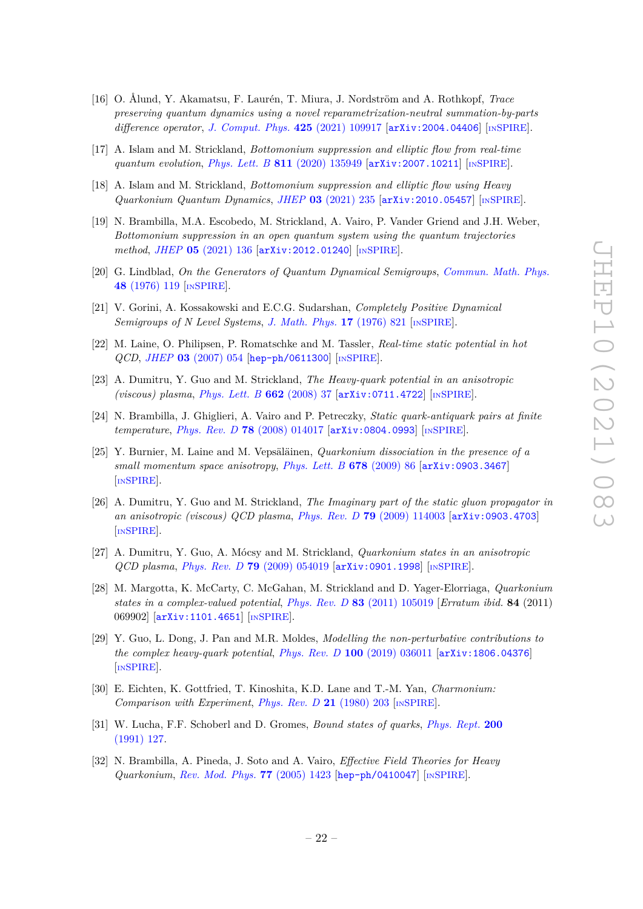- [16] O. Ålund, Y. Akamatsu, F. Laurén, T. Miura, J. Nordström and A. Rothkopf, *Trace preserving quantum dynamics using a novel reparametrization-neutral summation-by-parts difference operator*, *[J. Comput. Phys.](https://doi.org/10.1016/j.jcp.2020.109917)* **425** (2021) 109917 [[arXiv:2004.04406](https://arxiv.org/abs/2004.04406)] [IN[SPIRE](https://inspirehep.net/search?p=find+EPRINT%2BarXiv%3A2004.04406)].
- [17] A. Islam and M. Strickland, *Bottomonium suppression and elliptic flow from real-time quantum evolution*, *Phys. Lett. B* **811** [\(2020\) 135949](https://doi.org/10.1016/j.physletb.2020.135949) [[arXiv:2007.10211](https://arxiv.org/abs/2007.10211)] [IN[SPIRE](https://inspirehep.net/search?p=find+EPRINT%2BarXiv%3A2007.10211)].
- [18] A. Islam and M. Strickland, *Bottomonium suppression and elliptic flow using Heavy Quarkonium Quantum Dynamics*, *JHEP* **03** [\(2021\) 235](https://doi.org/10.1007/JHEP03(2021)235) [[arXiv:2010.05457](https://arxiv.org/abs/2010.05457)] [IN[SPIRE](https://inspirehep.net/search?p=find+EPRINT%2BarXiv%3A2010.05457)].
- <span id="page-22-0"></span>[19] N. Brambilla, M.A. Escobedo, M. Strickland, A. Vairo, P. Vander Griend and J.H. Weber, *Bottomonium suppression in an open quantum system using the quantum trajectories method*, *JHEP* **05** [\(2021\) 136](https://doi.org/10.1007/JHEP05(2021)136) [[arXiv:2012.01240](https://arxiv.org/abs/2012.01240)] [IN[SPIRE](https://inspirehep.net/search?p=find+EPRINT%2BarXiv%3A2012.01240)].
- <span id="page-22-1"></span>[20] G. Lindblad, *On the Generators of Quantum Dynamical Semigroups*, *[Commun. Math. Phys.](https://doi.org/10.1007/BF01608499)* **48** [\(1976\) 119](https://doi.org/10.1007/BF01608499) [IN[SPIRE](https://inspirehep.net/search?p=find+J%20%22Commun.Math.Phys.%2C48%2C119%22)].
- <span id="page-22-2"></span>[21] V. Gorini, A. Kossakowski and E.C.G. Sudarshan, *Completely Positive Dynamical Semigroups of N Level Systems, [J. Math. Phys.](https://doi.org/10.1063/1.522979)* **17** (1976) 821 [IN[SPIRE](https://inspirehep.net/search?p=find+J%20%22J.Math.Phys.%2C17%2C821%22)].
- <span id="page-22-3"></span>[22] M. Laine, O. Philipsen, P. Romatschke and M. Tassler, *Real-time static potential in hot QCD*, *JHEP* **03** [\(2007\) 054](https://doi.org/10.1088/1126-6708/2007/03/054) [[hep-ph/0611300](https://arxiv.org/abs/hep-ph/0611300)] [IN[SPIRE](https://inspirehep.net/search?p=find+EPRINT%2Bhep-ph%2F0611300)].
- [23] A. Dumitru, Y. Guo and M. Strickland, *The Heavy-quark potential in an anisotropic (viscous) plasma*, *[Phys. Lett. B](https://doi.org/10.1016/j.physletb.2008.02.048)* **662** (2008) 37 [[arXiv:0711.4722](https://arxiv.org/abs/0711.4722)] [IN[SPIRE](https://inspirehep.net/search?p=find+EPRINT%2BarXiv%3A0711.4722)].
- [24] N. Brambilla, J. Ghiglieri, A. Vairo and P. Petreczky, *Static quark-antiquark pairs at finite temperature*, *Phys. Rev. D* **78** [\(2008\) 014017](https://doi.org/10.1103/PhysRevD.78.014017) [[arXiv:0804.0993](https://arxiv.org/abs/0804.0993)] [IN[SPIRE](https://inspirehep.net/search?p=find+EPRINT%2BarXiv%3A0804.0993)].
- <span id="page-22-6"></span>[25] Y. Burnier, M. Laine and M. Vepsäläinen, *Quarkonium dissociation in the presence of a small momentum space anisotropy*, *[Phys. Lett. B](https://doi.org/10.1016/j.physletb.2009.05.067)* **678** (2009) 86 [[arXiv:0903.3467](https://arxiv.org/abs/0903.3467)] [IN[SPIRE](https://inspirehep.net/search?p=find+EPRINT%2BarXiv%3A0903.3467)].
- [26] A. Dumitru, Y. Guo and M. Strickland, *The Imaginary part of the static gluon propagator in an anisotropic (viscous) QCD plasma*, *Phys. Rev. D* **79** [\(2009\) 114003](https://doi.org/10.1103/PhysRevD.79.114003) [[arXiv:0903.4703](https://arxiv.org/abs/0903.4703)] [IN[SPIRE](https://inspirehep.net/search?p=find+EPRINT%2BarXiv%3A0903.4703)].
- [27] A. Dumitru, Y. Guo, A. Mócsy and M. Strickland, *Quarkonium states in an anisotropic QCD plasma*, *Phys. Rev. D* **79** [\(2009\) 054019](https://doi.org/10.1103/PhysRevD.79.054019) [[arXiv:0901.1998](https://arxiv.org/abs/0901.1998)] [IN[SPIRE](https://inspirehep.net/search?p=find+EPRINT%2BarXiv%3A0901.1998)].
- [28] M. Margotta, K. McCarty, C. McGahan, M. Strickland and D. Yager-Elorriaga, *Quarkonium states in a complex-valued potential*, *Phys. Rev. D* **83** [\(2011\) 105019](https://doi.org/10.1103/PhysRevD.84.069902) [*Erratum ibid.* **84** (2011) 069902 [[arXiv:1101.4651](https://arxiv.org/abs/1101.4651)] [IN[SPIRE](https://inspirehep.net/search?p=find+EPRINT%2BarXiv%3A1101.4651)].
- <span id="page-22-4"></span>[29] Y. Guo, L. Dong, J. Pan and M.R. Moldes, *Modelling the non-perturbative contributions to the complex heavy-quark potential*, *Phys. Rev. D* **100** [\(2019\) 036011](https://doi.org/10.1103/PhysRevD.100.036011) [[arXiv:1806.04376](https://arxiv.org/abs/1806.04376)] [IN[SPIRE](https://inspirehep.net/search?p=find+EPRINT%2BarXiv%3A1806.04376)].
- <span id="page-22-5"></span>[30] E. Eichten, K. Gottfried, T. Kinoshita, K.D. Lane and T.-M. Yan, *Charmonium: Comparison with Experiment*, *[Phys. Rev. D](https://doi.org/10.1103/PhysRevD.21.203)* **21** (1980) 203 [IN[SPIRE](https://inspirehep.net/search?p=find+J%20%22Phys.Rev.%2CD21%2C203%22)].
- [31] W. Lucha, F.F. Schoberl and D. Gromes, *Bound states of quarks*, *[Phys. Rept.](https://doi.org/10.1016/0370-1573(91)90001-3)* **200** [\(1991\) 127.](https://doi.org/10.1016/0370-1573(91)90001-3)
- [32] N. Brambilla, A. Pineda, J. Soto and A. Vairo, *Effective Field Theories for Heavy Quarkonium*, *[Rev. Mod. Phys.](https://doi.org/10.1103/RevModPhys.77.1423)* **77** (2005) 1423 [[hep-ph/0410047](https://arxiv.org/abs/hep-ph/0410047)] [IN[SPIRE](https://inspirehep.net/search?p=find+EPRINT%2Bhep-ph%2F0410047)].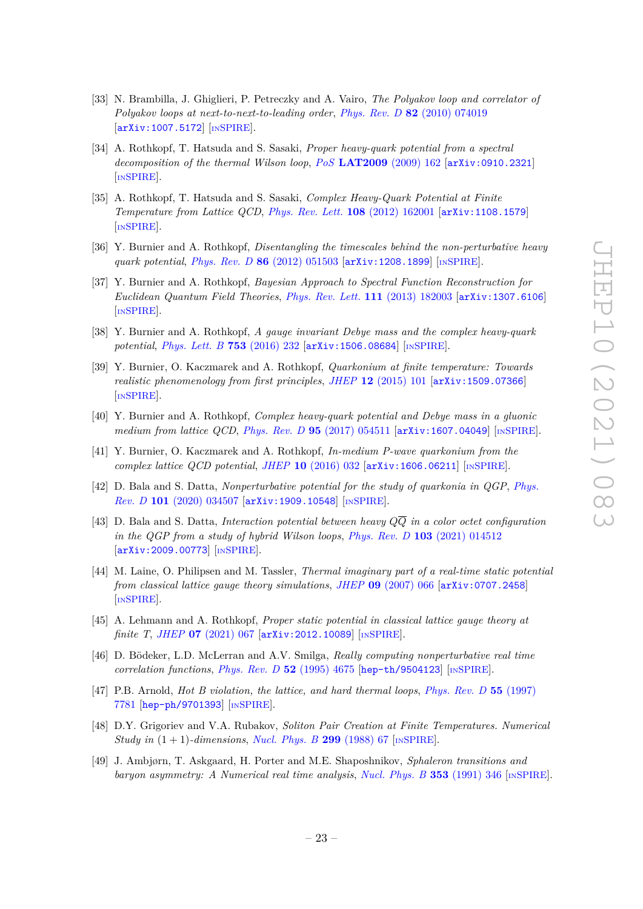- <span id="page-23-0"></span>[33] N. Brambilla, J. Ghiglieri, P. Petreczky and A. Vairo, *The Polyakov loop and correlator of Polyakov loops at next-to-next-to-leading order*, *Phys. Rev. D* **82** [\(2010\) 074019](https://doi.org/10.1103/PhysRevD.82.074019) [[arXiv:1007.5172](https://arxiv.org/abs/1007.5172)] [IN[SPIRE](https://inspirehep.net/search?p=find+EPRINT%2BarXiv%3A1007.5172)].
- <span id="page-23-1"></span>[34] A. Rothkopf, T. Hatsuda and S. Sasaki, *Proper heavy-quark potential from a spectral decomposition of the thermal Wilson loop*, *PoS* **LAT2009** [\(2009\) 162](https://doi.org/10.22323/1.091.0162) [[arXiv:0910.2321](https://arxiv.org/abs/0910.2321)] [IN[SPIRE](https://inspirehep.net/search?p=find+EPRINT%2BarXiv%3A0910.2321)].
- [35] A. Rothkopf, T. Hatsuda and S. Sasaki, *Complex Heavy-Quark Potential at Finite Temperature from Lattice QCD*, *[Phys. Rev. Lett.](https://doi.org/10.1103/PhysRevLett.108.162001)* **108** (2012) 162001 [[arXiv:1108.1579](https://arxiv.org/abs/1108.1579)] [IN[SPIRE](https://inspirehep.net/search?p=find+EPRINT%2BarXiv%3A1108.1579)].
- [36] Y. Burnier and A. Rothkopf, *Disentangling the timescales behind the non-perturbative heavy quark potential*, *Phys. Rev. D* **86** [\(2012\) 051503](https://doi.org/10.1103/PhysRevD.86.051503) [[arXiv:1208.1899](https://arxiv.org/abs/1208.1899)] [IN[SPIRE](https://inspirehep.net/search?p=find+EPRINT%2BarXiv%3A1208.1899)].
- [37] Y. Burnier and A. Rothkopf, *Bayesian Approach to Spectral Function Reconstruction for Euclidean Quantum Field Theories*, *[Phys. Rev. Lett.](https://doi.org/10.1103/PhysRevLett.111.182003)* **111** (2013) 182003 [[arXiv:1307.6106](https://arxiv.org/abs/1307.6106)] [IN[SPIRE](https://inspirehep.net/search?p=find+EPRINT%2BarXiv%3A1307.6106)].
- [38] Y. Burnier and A. Rothkopf, *A gauge invariant Debye mass and the complex heavy-quark potential*, *[Phys. Lett. B](https://doi.org/10.1016/j.physletb.2015.12.031)* **753** (2016) 232 [[arXiv:1506.08684](https://arxiv.org/abs/1506.08684)] [IN[SPIRE](https://inspirehep.net/search?p=find+EPRINT%2BarXiv%3A1506.08684)].
- [39] Y. Burnier, O. Kaczmarek and A. Rothkopf, *Quarkonium at finite temperature: Towards realistic phenomenology from first principles*, *JHEP* **12** [\(2015\) 101](https://doi.org/10.1007/JHEP12(2015)101) [[arXiv:1509.07366](https://arxiv.org/abs/1509.07366)] [IN[SPIRE](https://inspirehep.net/search?p=find+EPRINT%2BarXiv%3A1509.07366)].
- [40] Y. Burnier and A. Rothkopf, *Complex heavy-quark potential and Debye mass in a gluonic medium from lattice QCD*, *Phys. Rev. D* **95** [\(2017\) 054511](https://doi.org/10.1103/PhysRevD.95.054511) [[arXiv:1607.04049](https://arxiv.org/abs/1607.04049)] [IN[SPIRE](https://inspirehep.net/search?p=find+EPRINT%2BarXiv%3A1607.04049)].
- [41] Y. Burnier, O. Kaczmarek and A. Rothkopf, *In-medium P-wave quarkonium from the complex lattice QCD potential*, *JHEP* **10** [\(2016\) 032](https://doi.org/10.1007/JHEP10(2016)032) [[arXiv:1606.06211](https://arxiv.org/abs/1606.06211)] [IN[SPIRE](https://inspirehep.net/search?p=find+EPRINT%2BarXiv%3A1606.06211)].
- [42] D. Bala and S. Datta, *Nonperturbative potential for the study of quarkonia in QGP*, *[Phys.](https://doi.org/10.1103/PhysRevD.101.034507) Rev. D* **101** [\(2020\) 034507](https://doi.org/10.1103/PhysRevD.101.034507) [[arXiv:1909.10548](https://arxiv.org/abs/1909.10548)] [IN[SPIRE](https://inspirehep.net/search?p=find+EPRINT%2BarXiv%3A1909.10548)].
- <span id="page-23-2"></span>[43] D. Bala and S. Datta, *Interaction potential between heavy*  $Q\overline{Q}$  *in a color octet configuration in the QGP from a study of hybrid Wilson loops*, *Phys. Rev. D* **103** [\(2021\) 014512](https://doi.org/10.1103/PhysRevD.103.014512) [[arXiv:2009.00773](https://arxiv.org/abs/2009.00773)] [IN[SPIRE](https://inspirehep.net/search?p=find+EPRINT%2BarXiv%3A2009.00773)].
- <span id="page-23-3"></span>[44] M. Laine, O. Philipsen and M. Tassler, *Thermal imaginary part of a real-time static potential from classical lattice gauge theory simulations*, *JHEP* **09** [\(2007\) 066](https://doi.org/10.1088/1126-6708/2007/09/066) [[arXiv:0707.2458](https://arxiv.org/abs/0707.2458)] [IN[SPIRE](https://inspirehep.net/search?p=find+EPRINT%2BarXiv%3A0707.2458)].
- <span id="page-23-4"></span>[45] A. Lehmann and A. Rothkopf, *Proper static potential in classical lattice gauge theory at finite T*, *JHEP* **07** [\(2021\) 067](https://doi.org/10.1007/JHEP07(2021)067) [[arXiv:2012.10089](https://arxiv.org/abs/2012.10089)] [IN[SPIRE](https://inspirehep.net/search?p=find+EPRINT%2BarXiv%3A2012.10089)].
- <span id="page-23-5"></span>[46] D. Bödeker, L.D. McLerran and A.V. Smilga, *Really computing nonperturbative real time correlation functions*, *[Phys. Rev. D](https://doi.org/10.1103/PhysRevD.52.4675)* **52** (1995) 4675 [[hep-th/9504123](https://arxiv.org/abs/hep-th/9504123)] [IN[SPIRE](https://inspirehep.net/search?p=find+EPRINT%2Bhep-th%2F9504123)].
- <span id="page-23-6"></span>[47] P.B. Arnold, *Hot B violation, the lattice, and hard thermal loops*, *[Phys. Rev. D](https://doi.org/10.1103/PhysRevD.55.7781)* **55** (1997) [7781](https://doi.org/10.1103/PhysRevD.55.7781) [[hep-ph/9701393](https://arxiv.org/abs/hep-ph/9701393)] [IN[SPIRE](https://inspirehep.net/search?p=find+EPRINT%2Bhep-ph%2F9701393)].
- <span id="page-23-7"></span>[48] D.Y. Grigoriev and V.A. Rubakov, *Soliton Pair Creation at Finite Temperatures. Numerical Study in* (1 + 1)*-dimensions*, *[Nucl. Phys. B](https://doi.org/10.1016/0550-3213(88)90466-X)* **299** (1988) 67 [IN[SPIRE](https://inspirehep.net/search?p=find+J%20%22Nucl.Phys.%2CB299%2C67%22)].
- [49] J. Ambjørn, T. Askgaard, H. Porter and M.E. Shaposhnikov, *Sphaleron transitions and baryon asymmetry: A Numerical real time analysis*, *[Nucl. Phys. B](https://doi.org/10.1016/0550-3213(91)90341-T)* **353** (1991) 346 [IN[SPIRE](https://inspirehep.net/search?p=find+J%20%22Nucl.Phys.%2CB353%2C346%22)].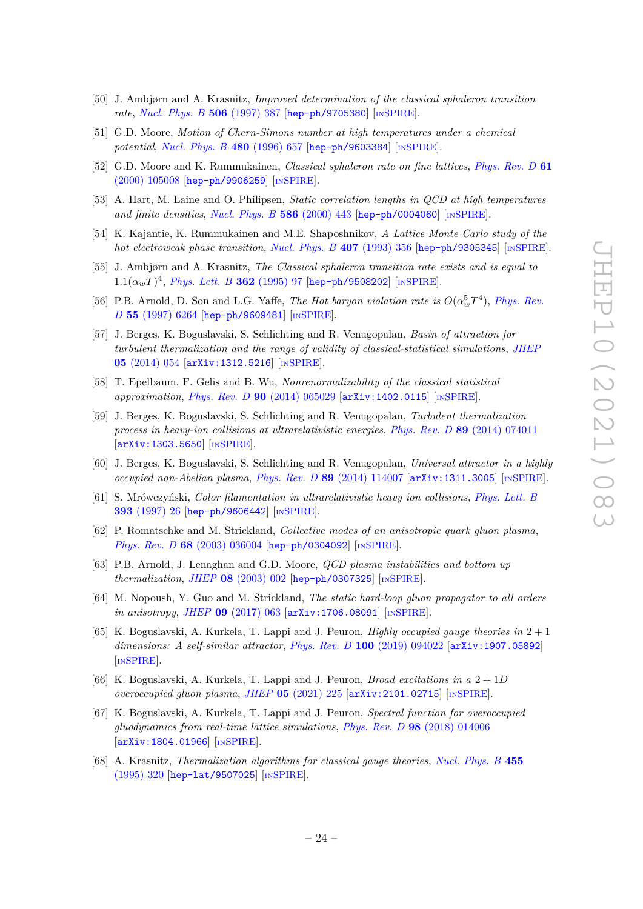- [50] J. Ambjørn and A. Krasnitz, *Improved determination of the classical sphaleron transition rate*, *[Nucl. Phys. B](https://doi.org/10.1016/S0550-3213(97)00524-5)* **506** (1997) 387 [[hep-ph/9705380](https://arxiv.org/abs/hep-ph/9705380)] [IN[SPIRE](https://inspirehep.net/search?p=find+EPRINT%2Bhep-ph%2F9705380)].
- <span id="page-24-12"></span>[51] G.D. Moore, *Motion of Chern-Simons number at high temperatures under a chemical potential*, *[Nucl. Phys. B](https://doi.org/10.1016/S0550-3213(96)00445-2)* **480** (1996) 657 [[hep-ph/9603384](https://arxiv.org/abs/hep-ph/9603384)] [IN[SPIRE](https://inspirehep.net/search?p=find+EPRINT%2Bhep-ph%2F9603384)].
- <span id="page-24-1"></span>[52] G.D. Moore and K. Rummukainen, *Classical sphaleron rate on fine lattices*, *[Phys. Rev. D](https://doi.org/10.1103/PhysRevD.61.105008)* **61** [\(2000\) 105008](https://doi.org/10.1103/PhysRevD.61.105008) [[hep-ph/9906259](https://arxiv.org/abs/hep-ph/9906259)] [IN[SPIRE](https://inspirehep.net/search?p=find+EPRINT%2Bhep-ph%2F9906259)].
- <span id="page-24-0"></span>[53] A. Hart, M. Laine and O. Philipsen, *Static correlation lengths in QCD at high temperatures and finite densities, [Nucl. Phys. B](https://doi.org/10.1016/S0550-3213(00)00418-1)* **586** (2000) 443 [[hep-ph/0004060](https://arxiv.org/abs/hep-ph/0004060)] [IN[SPIRE](https://inspirehep.net/search?p=find+EPRINT%2Bhep-ph%2F0004060)].
- <span id="page-24-2"></span>[54] K. Kajantie, K. Rummukainen and M.E. Shaposhnikov, *A Lattice Monte Carlo study of the hot electroweak phase transition*, *[Nucl. Phys. B](https://doi.org/10.1016/0550-3213(93)90062-T)* **407** (1993) 356 [[hep-ph/9305345](https://arxiv.org/abs/hep-ph/9305345)] [IN[SPIRE](https://inspirehep.net/search?p=find+EPRINT%2Bhep-ph%2F9305345)].
- [55] J. Ambjørn and A. Krasnitz, *The Classical sphaleron transition rate exists and is equal to*  $1.1(\alpha_w T)^4$ , *[Phys. Lett. B](https://doi.org/10.1016/0370-2693(95)01157-L)* **362** (1995) 97 [[hep-ph/9508202](https://arxiv.org/abs/hep-ph/9508202)] [IN[SPIRE](https://inspirehep.net/search?p=find+EPRINT%2Bhep-ph%2F9508202)].
- [56] P.B. Arnold, D. Son and L.G. Yaffe, *The Hot baryon violation rate is*  $O(\alpha_w^5 T^4)$ , *[Phys. Rev.](https://doi.org/10.1103/PhysRevD.55.6264) D* **55** [\(1997\) 6264](https://doi.org/10.1103/PhysRevD.55.6264) [[hep-ph/9609481](https://arxiv.org/abs/hep-ph/9609481)] [IN[SPIRE](https://inspirehep.net/search?p=find+EPRINT%2Bhep-ph%2F9609481)].
- [57] J. Berges, K. Boguslavski, S. Schlichting and R. Venugopalan, *Basin of attraction for turbulent thermalization and the range of validity of classical-statistical simulations*, *[JHEP](https://doi.org/10.1007/JHEP05(2014)054)* **05** [\(2014\) 054](https://doi.org/10.1007/JHEP05(2014)054) [[arXiv:1312.5216](https://arxiv.org/abs/1312.5216)] [IN[SPIRE](https://inspirehep.net/search?p=find+EPRINT%2BarXiv%3A1312.5216)].
- <span id="page-24-3"></span>[58] T. Epelbaum, F. Gelis and B. Wu, *Nonrenormalizability of the classical statistical approximation*, *Phys. Rev. D* **90** [\(2014\) 065029](https://doi.org/10.1103/PhysRevD.90.065029) [[arXiv:1402.0115](https://arxiv.org/abs/1402.0115)] [IN[SPIRE](https://inspirehep.net/search?p=find+EPRINT%2BarXiv%3A1402.0115)].
- <span id="page-24-4"></span>[59] J. Berges, K. Boguslavski, S. Schlichting and R. Venugopalan, *Turbulent thermalization process in heavy-ion collisions at ultrarelativistic energies*, *Phys. Rev. D* **89** [\(2014\) 074011](https://doi.org/10.1103/PhysRevD.89.074011) [[arXiv:1303.5650](https://arxiv.org/abs/1303.5650)] [IN[SPIRE](https://inspirehep.net/search?p=find+EPRINT%2BarXiv%3A1303.5650)].
- <span id="page-24-5"></span>[60] J. Berges, K. Boguslavski, S. Schlichting and R. Venugopalan, *Universal attractor in a highly occupied non-Abelian plasma*, *Phys. Rev. D* **89** [\(2014\) 114007](https://doi.org/10.1103/PhysRevD.89.114007) [[arXiv:1311.3005](https://arxiv.org/abs/1311.3005)] [IN[SPIRE](https://inspirehep.net/search?p=find+EPRINT%2BarXiv%3A1311.3005)].
- <span id="page-24-6"></span>[61] S. Mrówczyński, *Color filamentation in ultrarelativistic heavy ion collisions*, *[Phys. Lett. B](https://doi.org/10.1016/S0370-2693(96)01621-8)* **393** [\(1997\) 26](https://doi.org/10.1016/S0370-2693(96)01621-8) [[hep-ph/9606442](https://arxiv.org/abs/hep-ph/9606442)] [IN[SPIRE](https://inspirehep.net/search?p=find+EPRINT%2Bhep-ph%2F9606442)].
- [62] P. Romatschke and M. Strickland, *Collective modes of an anisotropic quark gluon plasma*, *Phys. Rev. D* **68** [\(2003\) 036004](https://doi.org/10.1103/PhysRevD.68.036004) [[hep-ph/0304092](https://arxiv.org/abs/hep-ph/0304092)] [IN[SPIRE](https://inspirehep.net/search?p=find+EPRINT%2Bhep-ph%2F0304092)].
- [63] P.B. Arnold, J. Lenaghan and G.D. Moore, *QCD plasma instabilities and bottom up thermalization*, *JHEP* **08** [\(2003\) 002](https://doi.org/10.1088/1126-6708/2003/08/002) [[hep-ph/0307325](https://arxiv.org/abs/hep-ph/0307325)] [IN[SPIRE](https://inspirehep.net/search?p=find+EPRINT%2Bhep-ph%2F0307325)].
- <span id="page-24-7"></span>[64] M. Nopoush, Y. Guo and M. Strickland, *The static hard-loop gluon propagator to all orders in anisotropy*, *JHEP* **09** [\(2017\) 063](https://doi.org/10.1007/JHEP09(2017)063) [[arXiv:1706.08091](https://arxiv.org/abs/1706.08091)] [IN[SPIRE](https://inspirehep.net/search?p=find+EPRINT%2BarXiv%3A1706.08091)].
- <span id="page-24-8"></span>[65] K. Boguslavski, A. Kurkela, T. Lappi and J. Peuron, *Highly occupied gauge theories in* 2 + 1 *dimensions: A self-similar attractor*, *Phys. Rev. D* **100** [\(2019\) 094022](https://doi.org/10.1103/PhysRevD.100.094022) [[arXiv:1907.05892](https://arxiv.org/abs/1907.05892)] [IN[SPIRE](https://inspirehep.net/search?p=find+EPRINT%2BarXiv%3A1907.05892)].
- <span id="page-24-9"></span>[66] K. Boguslavski, A. Kurkela, T. Lappi and J. Peuron, *Broad excitations in a* 2 + 1*D overoccupied gluon plasma*, *JHEP* **05** [\(2021\) 225](https://doi.org/10.1007/JHEP05(2021)225) [[arXiv:2101.02715](https://arxiv.org/abs/2101.02715)] [IN[SPIRE](https://inspirehep.net/search?p=find+EPRINT%2BarXiv%3A2101.02715)].
- <span id="page-24-10"></span>[67] K. Boguslavski, A. Kurkela, T. Lappi and J. Peuron, *Spectral function for overoccupied gluodynamics from real-time lattice simulations*, *Phys. Rev. D* **98** [\(2018\) 014006](https://doi.org/10.1103/PhysRevD.98.014006) [[arXiv:1804.01966](https://arxiv.org/abs/1804.01966)] [IN[SPIRE](https://inspirehep.net/search?p=find+EPRINT%2BarXiv%3A1804.01966)].
- <span id="page-24-11"></span>[68] A. Krasnitz, *Thermalization algorithms for classical gauge theories*, *[Nucl. Phys. B](https://doi.org/10.1016/0550-3213(95)00465-5)* **455** [\(1995\) 320](https://doi.org/10.1016/0550-3213(95)00465-5) [[hep-lat/9507025](https://arxiv.org/abs/hep-lat/9507025)] [IN[SPIRE](https://inspirehep.net/search?p=find+EPRINT%2Bhep-lat%2F9507025)].